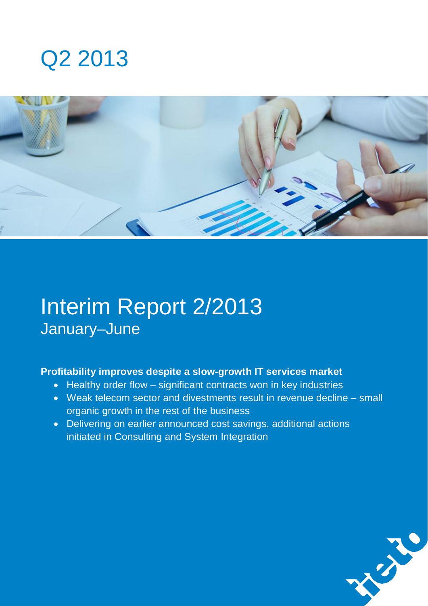# Q2 2013



# Interim Report 2/2013 January–June

### **Profitability improves despite a slow-growth IT services market**

- Healthy order flow significant contracts won in key industries
- Weak telecom sector and divestments result in revenue decline small organic growth in the rest of the business
- Delivering on earlier announced cost savings, additional actions initiated in Consulting and System Integration

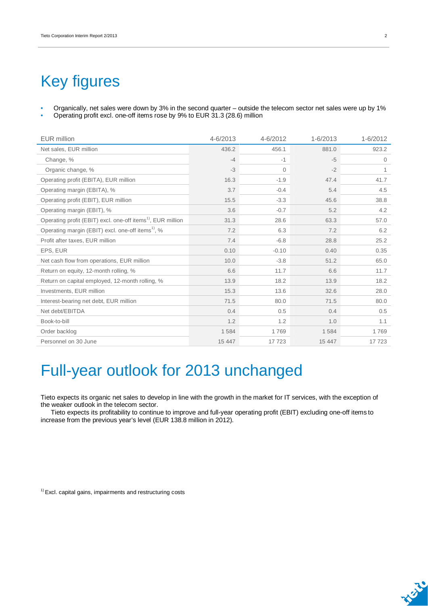## Key figures

• Organically, net sales were down by 3% in the second quarter – outside the telecom sector net sales were up by 1% • Operating profit excl. one-off items rose by 9% to EUR 31.3 (28.6) million

| EUR million                                                             | 4-6/2013 | 4-6/2012     | 1-6/2013 | 1-6/2012     |
|-------------------------------------------------------------------------|----------|--------------|----------|--------------|
| Net sales, EUR million                                                  | 436.2    | 456.1        | 881.0    | 923.2        |
| Change, %                                                               | $-4$     | $-1$         | $-5$     | $\mathbf{0}$ |
| Organic change, %                                                       | $-3$     | $\mathbf{0}$ | $-2$     | 1            |
| Operating profit (EBITA), EUR million                                   | 16.3     | $-1.9$       | 47.4     | 41.7         |
| Operating margin (EBITA), %                                             | 3.7      | $-0.4$       | 5.4      | 4.5          |
| Operating profit (EBIT), EUR million                                    | 15.5     | $-3.3$       | 45.6     | 38.8         |
| Operating margin (EBIT), %                                              | 3.6      | $-0.7$       | 5.2      | 4.2          |
| Operating profit (EBIT) excl. one-off items <sup>1)</sup> , EUR million | 31.3     | 28.6         | 63.3     | 57.0         |
| Operating margin (EBIT) excl. one-off items <sup>1)</sup> , %           | 7.2      | 6.3          | 7.2      | 6.2          |
| Profit after taxes, EUR million                                         | 7.4      | $-6.8$       | 28.8     | 25.2         |
| EPS, EUR                                                                | 0.10     | $-0.10$      | 0.40     | 0.35         |
| Net cash flow from operations, EUR million                              | 10.0     | $-3.8$       | 51.2     | 65.0         |
| Return on equity, 12-month rolling, %                                   | 6.6      | 11.7         | 6.6      | 11.7         |
| Return on capital employed, 12-month rolling, %                         | 13.9     | 18.2         | 13.9     | 18.2         |
| Investments, EUR million                                                | 15.3     | 13.6         | 32.6     | 28.0         |
| Interest-bearing net debt, EUR million                                  | 71.5     | 80.0         | 71.5     | 80.0         |
| Net debt/EBITDA                                                         | 0.4      | 0.5          | 0.4      | 0.5          |
| Book-to-bill                                                            | 1.2      | 1.2          | 1.0      | 1.1          |
| Order backlog                                                           | 1584     | 1769         | 1584     | 1769         |
| Personnel on 30 June                                                    | 15 447   | 17 723       | 15 447   | 17723        |

## Full-year outlook for 2013 unchanged

Tieto expects its organic net sales to develop in line with the growth in the market for IT services, with the exception of the weaker outlook in the telecom sector.

Tieto expects its profitability to continue to improve and full-year operating profit (EBIT) excluding one-off items to increase from the previous year's level (EUR 138.8 million in 2012).

 $1)$  Excl. capital gains, impairments and restructuring costs

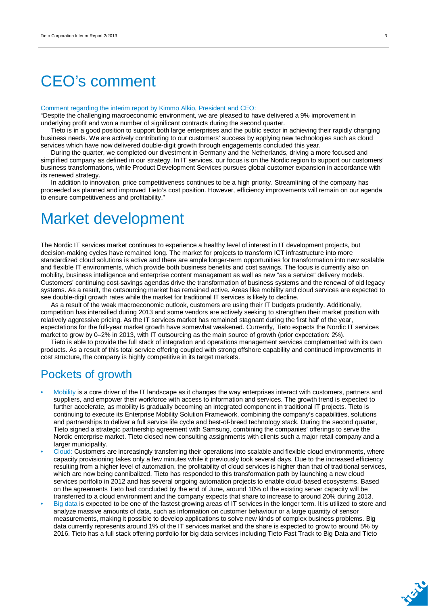## CEO's comment

#### Comment regarding the interim report by Kimmo Alkio, President and CEO:

"Despite the challenging macroeconomic environment, we are pleased to have delivered a 9% improvement in underlying profit and won a number of significant contracts during the second quarter.

Tieto is in a good position to support both large enterprises and the public sector in achieving their rapidly changing business needs. We are actively contributing to our customers' success by applying new technologies such as cloud services which have now delivered double-digit growth through engagements concluded this year.

During the quarter, we completed our divestment in Germany and the Netherlands, driving a more focused and simplified company as defined in our strategy. In IT services, our focus is on the Nordic region to support our customers' business transformations, while Product Development Services pursues global customer expansion in accordance with its renewed strategy.

In addition to innovation, price competitiveness continues to be a high priority. Streamlining of the company has proceeded as planned and improved Tieto's cost position. However, efficiency improvements will remain on our agenda to ensure competitiveness and profitability."

### Market development

The Nordic IT services market continues to experience a healthy level of interest in IT development projects, but decision-making cycles have remained long. The market for projects to transform ICT infrastructure into more standardized cloud solutions is active and there are ample longer-term opportunities for transformation into new scalable and flexible IT environments, which provide both business benefits and cost savings. The focus is currently also on mobility, business intelligence and enterprise content management as well as new "as a service" delivery models. Customers' continuing cost-savings agendas drive the transformation of business systems and the renewal of old legacy systems. As a result, the outsourcing market has remained active. Areas like mobility and cloud services are expected to see double-digit growth rates while the market for traditional IT services is likely to decline.

As a result of the weak macroeconomic outlook, customers are using their IT budgets prudently. Additionally, competition has intensified during 2013 and some vendors are actively seeking to strengthen their market position with relatively aggressive pricing. As the IT services market has remained stagnant during the first half of the year, expectations for the full-year market growth have somewhat weakened. Currently, Tieto expects the Nordic IT services market to grow by 0–2% in 2013, with IT outsourcing as the main source of growth (prior expectation: 2%).

Tieto is able to provide the full stack of integration and operations management services complemented with its own products. As a result of this total service offering coupled with strong offshore capability and continued improvements in cost structure, the company is highly competitive in its target markets.

### Pockets of growth

- Mobility is a core driver of the IT landscape as it changes the way enterprises interact with customers, partners and suppliers, and empower their workforce with access to information and services. The growth trend is expected to further accelerate, as mobility is gradually becoming an integrated component in traditional IT projects. Tieto is continuing to execute its Enterprise Mobility Solution Framework, combining the company's capabilities, solutions and partnerships to deliver a full service life cycle and best-of-breed technology stack. During the second quarter, Tieto signed a strategic partnership agreement with Samsung, combining the companies' offerings to serve the Nordic enterprise market. Tieto closed new consulting assignments with clients such a major retail company and a larger municipality.
- Cloud: Customers are increasingly transferring their operations into scalable and flexible cloud environments, where capacity provisioning takes only a few minutes while it previously took several days. Due to the increased efficiency resulting from a higher level of automation, the profitability of cloud services is higher than that of traditional services, which are now being cannibalized. Tieto has responded to this transformation path by launching a new cloud services portfolio in 2012 and has several ongoing automation projects to enable cloud-based ecosystems. Based on the agreements Tieto had concluded by the end of June, around 10% of the existing server capacity will be transferred to a cloud environment and the company expects that share to increase to around 20% during 2013.
- Big data is expected to be one of the fastest growing areas of IT services in the longer term. It is utilized to store and analyze massive amounts of data, such as information on customer behaviour or a large quantity of sensor measurements, making it possible to develop applications to solve new kinds of complex business problems. Big data currently represents around 1% of the IT services market and the share is expected to grow to around 5% by 2016. Tieto has a full stack offering portfolio for big data services including Tieto Fast Track to Big Data and Tieto

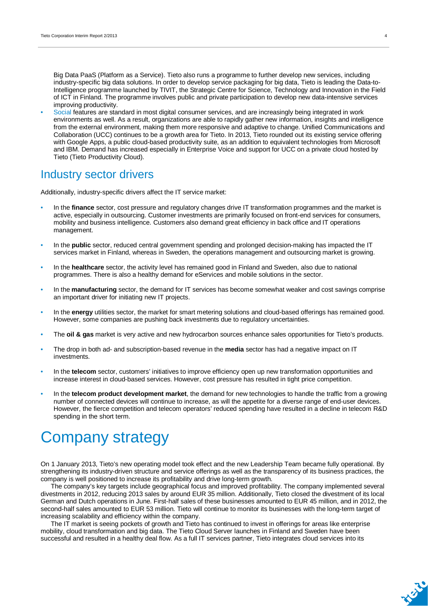Big Data PaaS (Platform as a Service). Tieto also runs a programme to further develop new services, including industry-specific big data solutions. In order to develop service packaging for big data, Tieto is leading the Data-to-Intelligence programme launched by TIVIT, the Strategic Centre for Science, Technology and Innovation in the Field of ICT in Finland. The programme involves public and private participation to develop new data-intensive services improving productivity.

• Social features are standard in most digital consumer services, and are increasingly being integrated in work environments as well. As a result, organizations are able to rapidly gather new information, insights and intelligence from the external environment, making them more responsive and adaptive to change. Unified Communications and Collaboration (UCC) continues to be a growth area for Tieto. In 2013, Tieto rounded out its existing service offering with Google Apps, a public cloud-based productivity suite, as an addition to equivalent technologies from Microsoft and IBM. Demand has increased especially in Enterprise Voice and support for UCC on a private cloud hosted by Tieto (Tieto Productivity Cloud).

### Industry sector drivers

Additionally, industry-specific drivers affect the IT service market:

- In the **finance** sector, cost pressure and regulatory changes drive IT transformation programmes and the market is active, especially in outsourcing. Customer investments are primarily focused on front-end services for consumers, mobility and business intelligence. Customers also demand great efficiency in back office and IT operations management.
- In the **public** sector, reduced central government spending and prolonged decision-making has impacted the IT services market in Finland, whereas in Sweden, the operations management and outsourcing market is growing.
- In the **healthcare** sector, the activity level has remained good in Finland and Sweden, also due to national programmes. There is also a healthy demand for eServices and mobile solutions in the sector.
- In the **manufacturing** sector, the demand for IT services has become somewhat weaker and cost savings comprise an important driver for initiating new IT projects.
- In the **energy** utilities sector, the market for smart metering solutions and cloud-based offerings has remained good. However, some companies are pushing back investments due to regulatory uncertainties.
- The **oil & gas** market is very active and new hydrocarbon sources enhance sales opportunities for Tieto's products.
- The drop in both ad- and subscription-based revenue in the **media** sector has had a negative impact on IT investments.
- In the **telecom** sector, customers' initiatives to improve efficiency open up new transformation opportunities and increase interest in cloud-based services. However, cost pressure has resulted in tight price competition.
- In the **telecom product development market**, the demand for new technologies to handle the traffic from a growing number of connected devices will continue to increase, as will the appetite for a diverse range of end-user devices. However, the fierce competition and telecom operators' reduced spending have resulted in a decline in telecom R&D spending in the short term.

## Company strategy

On 1 January 2013, Tieto's new operating model took effect and the new Leadership Team became fully operational. By strengthening its industry-driven structure and service offerings as well as the transparency of its business practices, the company is well positioned to increase its profitability and drive long-term growth.

The company's key targets include geographical focus and improved profitability. The company implemented several divestments in 2012, reducing 2013 sales by around EUR 35 million. Additionally, Tieto closed the divestment of its local German and Dutch operations in June. First-half sales of these businesses amounted to EUR 45 million, and in 2012, the second-half sales amounted to EUR 53 million. Tieto will continue to monitor its businesses with the long-term target of increasing scalability and efficiency within the company.

The IT market is seeing pockets of growth and Tieto has continued to invest in offerings for areas like enterprise mobility, cloud transformation and big data. The Tieto Cloud Server launches in Finland and Sweden have been successful and resulted in a healthy deal flow. As a full IT services partner, Tieto integrates cloud services into its

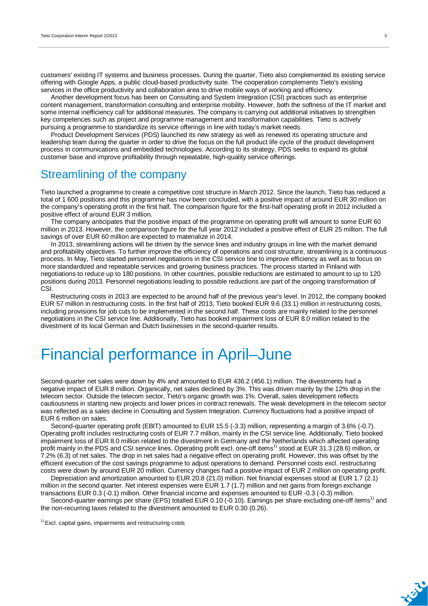customers' existing IT systems and business processes. During the quarter, Tieto also complemented its existing service offering with Google Apps, a public cloud-based productivity suite. The cooperation complements Tieto's existing services in the office productivity and collaboration area to drive mobile ways of working and efficiency.

Another development focus has been on Consulting and System Integration (CSI) practices such as enterprise content management, transformation consulting and enterprise mobility. However, both the softness of the IT market and some internal inefficiency call for additional measures. The company is carrying out additional initiatives to strengthen key competences such as project and programme management and transformation capabilities. Tieto is actively pursuing a programme to standardize its service offerings in line with today's market needs.

Product Development Services (PDS) launched its new strategy as well as renewed its operating structure and leadership team during the quarter in order to drive the focus on the full product life cycle of the product development process in communications and embedded technologies. According to its strategy, PDS seeks to expand its global customer base and improve profitability through repeatable, high-quality service offerings.

### Streamlining of the company

Tieto launched a programme to create a competitive cost structure in March 2012. Since the launch, Tieto has reduced a total of 1 600 positions and this programme has now been concluded, with a positive impact of around EUR 30 million on the company's operating profit in the first half. The comparison figure for the first-half operating profit in 2012 included a positive effect of around EUR 3 million.

The company anticipates that the positive impact of the programme on operating profit will amount to some EUR 60 million in 2013. However, the comparison figure for the full year 2012 included a positive effect of EUR 25 million. The full savings of over EUR 60 million are expected to materialize in 2014.

In 2013, streamlining actions will be driven by the service lines and industry groups in line with the market demand and profitability objectives. To further improve the efficiency of operations and cost structure, streamlining is a continuous process. In May, Tieto started personnel negotiations in the CSI service line to improve efficiency as well as to focus on more standardized and repeatable services and growing business practices. The process started in Finland with negotiations to reduce up to 180 positions. In other countries, possible reductions are estimated to amount to up to 120 positions during 2013. Personnel negotiations leading to possible reductions are part of the ongoing transformation of **CSI** 

Restructuring costs in 2013 are expected to be around half of the previous year's level. In 2012, the company booked EUR 57 million in restructuring costs. In the first half of 2013, Tieto booked EUR 9.6 (33.1) million in restructuring costs, including provisions for job cuts to be implemented in the second half. These costs are mainly related to the personnel negotiations in the CSI service line. Additionally, Tieto has booked impairment loss of EUR 8.0 million related to the divestment of its local German and Dutch businesses in the second-quarter results.

## Financial performance in April–June

Second-quarter net sales were down by 4% and amounted to EUR 436.2 (456.1) million. The divestments had a negative impact of EUR 8 million. Organically, net sales declined by 3%. This was driven mainly by the 12% drop in the telecom sector. Outside the telecom sector, Tieto's organic growth was 1%. Overall, sales development reflects cautiousness in starting new projects and lower prices in contract renewals. The weak development in the telecom sector was reflected as a sales decline in Consulting and System Integration. Currency fluctuations had a positive impact of EUR 6 million on sales.

Second-quarter operating profit (EBIT) amounted to EUR 15.5 (-3.3) million, representing a margin of 3.6% (-0.7). Operating profit includes restructuring costs of EUR 7.7 million, mainly in the CSI service line. Additionally, Tieto booked impairment loss of EUR 8.0 million related to the divestment in Germany and the Netherlands which affected operating profit mainly in the PDS and CSI service lines. Operating profit excl. one-off items<sup>1)</sup> stood at EUR 31.3 (28.6) million, or 7.2% (6.3) of net sales. The drop in net sales had a negative effect on operating profit. However, this was offset by the efficient execution of the cost savings programme to adjust operations to demand. Personnel costs excl. restructuring costs were down by around EUR 20 million. Currency changes had a positive impact of EUR 2 million on operating profit.

Depreciation and amortization amounted to EUR 20.8 (21.0) million. Net financial expenses stood at EUR 1.7 (2.1) million in the second quarter. Net interest expenses were EUR 1.7 (1.7) million and net gains from foreign exchange transactions EUR 0.3 (-0.1) million. Other financial income and expenses amounted to EUR -0.3 (-0.3) million.

Second-quarter earnings per share (EPS) totalled EUR 0.10 (-0.10). Earnings per share excluding one-off items<sup>1)</sup> and the non-recurring taxes related to the divestment amounted to EUR 0.30 (0.26).

 $1)$  Excl. capital gains, impairments and restructuring costs

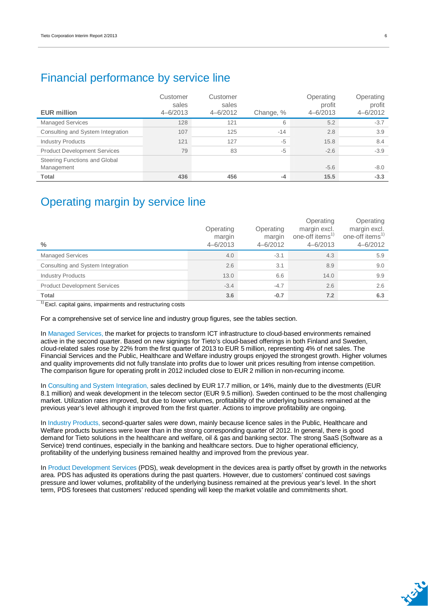### Financial performance by service line

| <b>EUR million</b>                          | Customer<br>sales<br>$4 - 6/2013$ | Customer<br>sales<br>$4 - 6/2012$ | Change, % | Operating<br>profit<br>$4 - 6/2013$ | Operating<br>profit<br>$4 - 6/2012$ |
|---------------------------------------------|-----------------------------------|-----------------------------------|-----------|-------------------------------------|-------------------------------------|
| <b>Managed Services</b>                     | 128                               | 121                               | 6         | 5.2                                 | $-3.7$                              |
| Consulting and System Integration           | 107                               | 125                               | $-14$     | 2.8                                 | 3.9                                 |
| <b>Industry Products</b>                    | 121                               | 127                               | $-5$      | 15.8                                | 8.4                                 |
| <b>Product Development Services</b>         | 79                                | 83                                | $-5$      | $-2.6$                              | $-3.9$                              |
| Steering Functions and Global<br>Management |                                   |                                   |           | $-5.6$                              | $-8.0$                              |
| <b>Total</b>                                | 436                               | 456                               | $-4$      | 15.5                                | $-3.3$                              |

### Operating margin by service line

| $\frac{0}{0}$                       | Operating<br>margin<br>$4 - 6/2013$ | Operating<br>margin<br>$4 - 6/2012$ | Operating<br>margin excl.<br>one-off items <sup>1)</sup><br>$4 - 6/2013$ | Operating<br>margin excl.<br>one-off items <sup>1)</sup><br>$4 - 6/2012$ |
|-------------------------------------|-------------------------------------|-------------------------------------|--------------------------------------------------------------------------|--------------------------------------------------------------------------|
| <b>Managed Services</b>             | 4.0                                 | $-3.1$                              | 4.3                                                                      | 5.9                                                                      |
| Consulting and System Integration   | 2.6                                 | 3.1                                 | 8.9                                                                      | 9.0                                                                      |
| <b>Industry Products</b>            | 13.0                                | 6.6                                 | 14.0                                                                     | 9.9                                                                      |
| <b>Product Development Services</b> | $-3.4$                              | $-4.7$                              | 2.6                                                                      | 2.6                                                                      |
| <b>Total</b>                        | 3.6                                 | $-0.7$                              | 7.2                                                                      | 6.3                                                                      |

<sup>1)</sup> Excl. capital gains, impairments and restructuring costs

For a comprehensive set of service line and industry group figures, see the tables section.

In Managed Services, the market for projects to transform ICT infrastructure to cloud-based environments remained active in the second quarter. Based on new signings for Tieto's cloud-based offerings in both Finland and Sweden, cloud-related sales rose by 22% from the first quarter of 2013 to EUR 5 million, representing 4% of net sales. The Financial Services and the Public, Healthcare and Welfare industry groups enjoyed the strongest growth. Higher volumes and quality improvements did not fully translate into profits due to lower unit prices resulting from intense competition. The comparison figure for operating profit in 2012 included close to EUR 2 million in non-recurring income.

In Consulting and System Integration, sales declined by EUR 17.7 million, or 14%, mainly due to the divestments (EUR 8.1 million) and weak development in the telecom sector (EUR 9.5 million). Sweden continued to be the most challenging market. Utilization rates improved, but due to lower volumes, profitability of the underlying business remained at the previous year's level although it improved from the first quarter. Actions to improve profitability are ongoing.

In Industry Products, second-quarter sales were down, mainly because licence sales in the Public, Healthcare and Welfare products business were lower than in the strong corresponding quarter of 2012. In general, there is good demand for Tieto solutions in the healthcare and welfare, oil & gas and banking sector. The strong SaaS (Software as a Service) trend continues, especially in the banking and healthcare sectors. Due to higher operational efficiency, profitability of the underlying business remained healthy and improved from the previous year.

In Product Development Services (PDS), weak development in the devices area is partly offset by growth in the networks area. PDS has adjusted its operations during the past quarters. However, due to customers' continued cost savings pressure and lower volumes, profitability of the underlying business remained at the previous year's level. In the short term, PDS foresees that customers' reduced spending will keep the market volatile and commitments short.

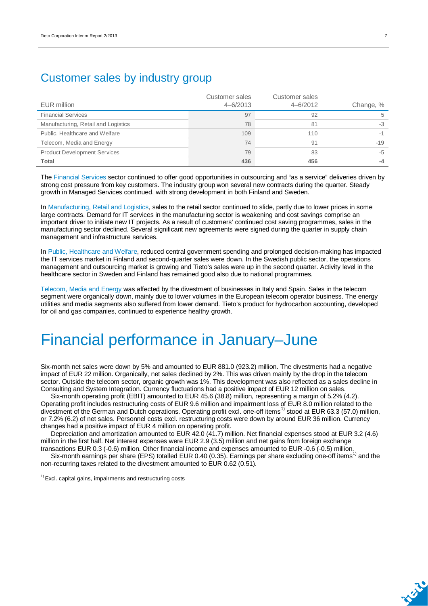### Customer sales by industry group

| EUR million                         | Customer sales<br>$4 - 6/2013$ | Customer sales<br>$4 - 6/2012$ | Change, % |
|-------------------------------------|--------------------------------|--------------------------------|-----------|
| <b>Financial Services</b>           | 97                             | 92                             |           |
| Manufacturing, Retail and Logistics | 78                             | 81                             | $-3$      |
| Public, Healthcare and Welfare      | 109                            | 110                            |           |
| Telecom, Media and Energy           | 74                             | 91                             | $-19$     |
| <b>Product Development Services</b> | 79                             | 83                             | $-5$      |
| <b>Total</b>                        | 436                            | 456                            |           |

The Financial Services sector continued to offer good opportunities in outsourcing and "as a service" deliveries driven by strong cost pressure from key customers. The industry group won several new contracts during the quarter. Steady growth in Managed Services continued, with strong development in both Finland and Sweden.

In Manufacturing, Retail and Logistics, sales to the retail sector continued to slide, partly due to lower prices in some large contracts. Demand for IT services in the manufacturing sector is weakening and cost savings comprise an important driver to initiate new IT projects. As a result of customers' continued cost saving programmes, sales in the manufacturing sector declined. Several significant new agreements were signed during the quarter in supply chain management and infrastructure services.

In Public, Healthcare and Welfare, reduced central government spending and prolonged decision-making has impacted the IT services market in Finland and second-quarter sales were down. In the Swedish public sector, the operations management and outsourcing market is growing and Tieto's sales were up in the second quarter. Activity level in the healthcare sector in Sweden and Finland has remained good also due to national programmes.

Telecom, Media and Energy was affected by the divestment of businesses in Italy and Spain. Sales in the telecom segment were organically down, mainly due to lower volumes in the European telecom operator business. The energy utilities and media segments also suffered from lower demand. Tieto's product for hydrocarbon accounting, developed for oil and gas companies, continued to experience healthy growth.

## Financial performance in January–June

Six-month net sales were down by 5% and amounted to EUR 881.0 (923.2) million. The divestments had a negative impact of EUR 22 million. Organically, net sales declined by 2%. This was driven mainly by the drop in the telecom sector. Outside the telecom sector, organic growth was 1%. This development was also reflected as a sales decline in Consulting and System Integration. Currency fluctuations had a positive impact of EUR 12 million on sales.

Six-month operating profit (EBIT) amounted to EUR 45.6 (38.8) million, representing a margin of 5.2% (4.2). Operating profit includes restructuring costs of EUR 9.6 million and impairment loss of EUR 8.0 million related to the divestment of the German and Dutch operations. Operating profit excl. one-off items<sup>1)</sup> stood at EUR 63.3 (57.0) million, or 7.2% (6.2) of net sales. Personnel costs excl. restructuring costs were down by around EUR 36 million. Currency changes had a positive impact of EUR 4 million on operating profit.

Depreciation and amortization amounted to EUR 42.0 (41.7) million. Net financial expenses stood at EUR 3.2 (4.6) million in the first half. Net interest expenses were EUR 2.9 (3.5) million and net gains from foreign exchange transactions EUR 0.3 (-0.6) million. Other financial income and expenses amounted to EUR -0.6 (-0.5) million.

Six-month earnings per share (EPS) totalled EUR 0.40 (0.35). Earnings per share excluding one-off items<sup>1)</sup> and the non-recurring taxes related to the divestment amounted to EUR 0.62 (0.51).

 $1)$  Excl. capital gains, impairments and restructuring costs

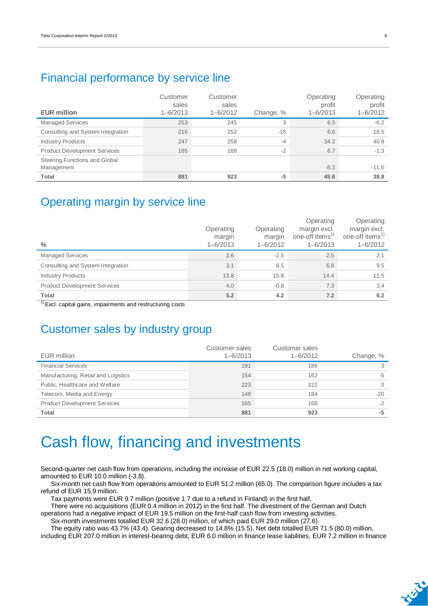### Financial performance by service line

| <b>EUR million</b>                          | Customer<br>sales<br>$1 - 6/2013$ | Customer<br>sales<br>$1 - 6/2012$ | Change, % | Operating<br>profit<br>$1 - 6/2013$ | Operating<br>profit<br>1-6/2012 |
|---------------------------------------------|-----------------------------------|-----------------------------------|-----------|-------------------------------------|---------------------------------|
| <b>Managed Services</b>                     | 253                               | 245                               | 3         | 6.5                                 | $-6.2$                          |
| Consulting and System Integration           | 216                               | 252                               | $-15$     | 6.6                                 | 16.5                            |
| <b>Industry Products</b>                    | 247                               | 258                               | $-4$      | 34.2                                | 40.8                            |
| <b>Product Development Services</b>         | 165                               | 168                               | $-2$      | 6.7                                 | $-1.3$                          |
| Steering Functions and Global<br>Management |                                   |                                   |           | $-8.3$                              | $-11.0$                         |
| <b>Total</b>                                | 881                               | 923                               | $-5$      | 45.6                                | 38.8                            |

### Operating margin by service line

| $\frac{0}{0}$                       | Operating<br>margin<br>$1 - 6/2013$ | Operating<br>margin<br>$1 - 6/2012$ | Operating<br>margin excl.<br>one-off items <sup>1)</sup><br>$1 - 6/2013$ | Operating<br>margin excl.<br>one-off items <sup>1)</sup><br>$1 - 6/2012$ |
|-------------------------------------|-------------------------------------|-------------------------------------|--------------------------------------------------------------------------|--------------------------------------------------------------------------|
| <b>Managed Services</b>             | 2.6                                 | $-2.5$                              | 2.5                                                                      | 2.1                                                                      |
| Consulting and System Integration   | 3.1                                 | 6.5                                 | 6.8                                                                      | 9.5                                                                      |
| <b>Industry Products</b>            | 13.8                                | 15.8                                | 14.4                                                                     | 11.5                                                                     |
| <b>Product Development Services</b> | 4.0                                 | $-0.8$                              | 7.3                                                                      | 3.4                                                                      |
| Total                               | 5.2                                 | 4.2                                 | 7.2                                                                      | 6.2                                                                      |

 $<sup>1</sup>$  Excl. capital gains, impairments and restructuring costs</sup>

### Customer sales by industry group

| EUR million                         | Customer sales<br>$1 - 6/2013$ | Customer sales<br>$1 - 6/2012$ | Change, % |
|-------------------------------------|--------------------------------|--------------------------------|-----------|
| <b>Financial Services</b>           | 191                            | 186                            | 3         |
| Manufacturing, Retail and Logistics | 154                            | 162                            | $-5$      |
| Public, Healthcare and Welfare      | 223                            | 222                            | $\Omega$  |
| Telecom, Media and Energy           | 148                            | 184                            | $-20$     |
| <b>Product Development Services</b> | 165                            | 168                            | $-2$      |
| <b>Total</b>                        | 881                            | 923                            | -5        |

## Cash flow, financing and investments

Second-quarter net cash flow from operations, including the increase of EUR 22.5 (18.0) million in net working capital, amounted to EUR 10.0 million (-3.8).

Six-month net cash flow from operations amounted to EUR 51.2 million (65.0). The comparison figure includes a tax refund of EUR 15.9 million.

Tax payments were EUR 9.7 million (positive 1.7 due to a refund in Finland) in the first half.

There were no acquisitions (EUR 0.4 million in 2012) in the first half. The divestment of the German and Dutch operations had a negative impact of EUR 19.5 million on the first-half cash flow from investing activities.

Six-month investments totalled EUR 32.6 (28.0) million, of which paid EUR 29.0 million (27.6).

The equity ratio was 43.7% (43.4). Gearing decreased to 14.8% (15.5). Net debt totalled EUR 71.5 (80.0) million,

including EUR 207.0 million in interest-bearing debt, EUR 6.0 million in finance lease liabilities, EUR 7.2 million in finance

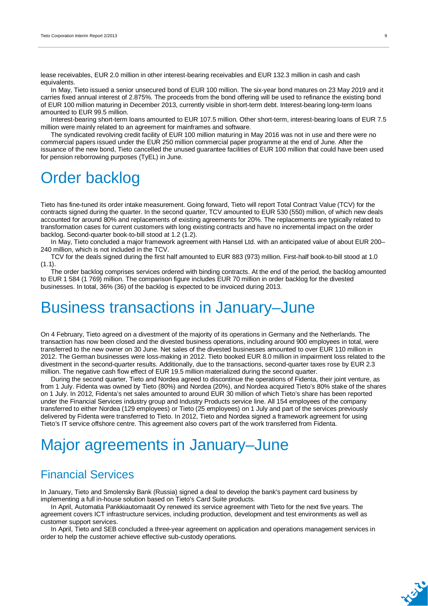lease receivables, EUR 2.0 million in other interest-bearing receivables and EUR 132.3 million in cash and cash equivalents.

In May, Tieto issued a senior unsecured bond of EUR 100 million. The six-year bond matures on 23 May 2019 and it carries fixed annual interest of 2.875%. The proceeds from the bond offering will be used to refinance the existing bond of EUR 100 million maturing in December 2013, currently visible in short-term debt. Interest-bearing long-term loans amounted to EUR 99.5 million.

Interest-bearing short-term loans amounted to EUR 107.5 million. Other short-term, interest-bearing loans of EUR 7.5 million were mainly related to an agreement for mainframes and software.

The syndicated revolving credit facility of EUR 100 million maturing in May 2016 was not in use and there were no commercial papers issued under the EUR 250 million commercial paper programme at the end of June. After the issuance of the new bond, Tieto cancelled the unused guarantee facilities of EUR 100 million that could have been used for pension reborrowing purposes (TyEL) in June.

## Order backlog

Tieto has fine-tuned its order intake measurement. Going forward, Tieto will report Total Contract Value (TCV) for the contracts signed during the quarter. In the second quarter, TCV amounted to EUR 530 (550) million, of which new deals accounted for around 80% and replacements of existing agreements for 20%. The replacements are typically related to transformation cases for current customers with long existing contracts and have no incremental impact on the order backlog. Second-quarter book-to-bill stood at 1.2 (1.2).

In May, Tieto concluded a major framework agreement with Hansel Ltd. with an anticipated value of about EUR 200– 240 million, which is not included in the TCV.

TCV for the deals signed during the first half amounted to EUR 883 (973) million. First-half book-to-bill stood at 1.0  $(1.1).$ 

The order backlog comprises services ordered with binding contracts. At the end of the period, the backlog amounted to EUR 1 584 (1 769) million. The comparison figure includes EUR 70 million in order backlog for the divested businesses. In total, 36% (36) of the backlog is expected to be invoiced during 2013.

### Business transactions in January–June

On 4 February, Tieto agreed on a divestment of the majority of its operations in Germany and the Netherlands. The transaction has now been closed and the divested business operations, including around 900 employees in total, were transferred to the new owner on 30 June. Net sales of the divested businesses amounted to over EUR 110 million in 2012. The German businesses were loss-making in 2012. Tieto booked EUR 8.0 million in impairment loss related to the divestment in the second-quarter results. Additionally, due to the transactions, second-quarter taxes rose by EUR 2.3 million. The negative cash flow effect of EUR 19.5 million materialized during the second quarter.

During the second quarter, Tieto and Nordea agreed to discontinue the operations of Fidenta, their joint venture, as from 1 July. Fidenta was owned by Tieto (80%) and Nordea (20%), and Nordea acquired Tieto's 80% stake of the shares on 1 July. In 2012, Fidenta's net sales amounted to around EUR 30 million of which Tieto's share has been reported under the Financial Services industry group and Industry Products service line. All 154 employees of the company transferred to either Nordea (129 employees) or Tieto (25 employees) on 1 July and part of the services previously delivered by Fidenta were transferred to Tieto. In 2012, Tieto and Nordea signed a framework agreement for using Tieto's IT service offshore centre. This agreement also covers part of the work transferred from Fidenta.

## Major agreements in January–June

### Financial Services

In January, Tieto and Smolensky Bank (Russia) signed a deal to develop the bank's payment card business by implementing a full in-house solution based on Tieto's Card Suite products.

In April, Automatia Pankkiautomaatit Oy renewed its service agreement with Tieto for the next five years. The agreement covers ICT infrastructure services, including production, development and test environments as well as customer support services.

In April, Tieto and SEB concluded a three-year agreement on application and operations management services in order to help the customer achieve effective sub-custody operations.

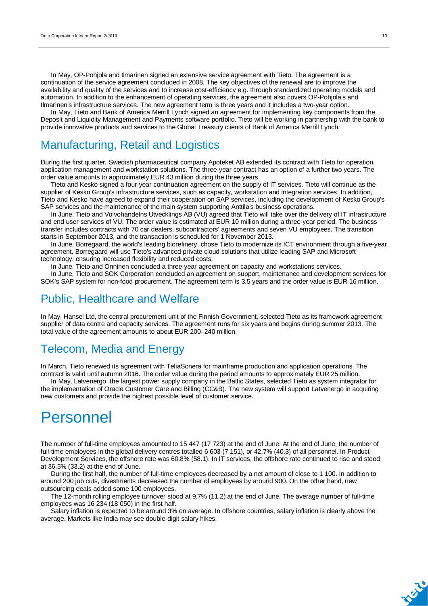In May, OP-Pohjola and Ilmarinen signed an extensive service agreement with Tieto. The agreement is a continuation of the service agreement concluded in 2008. The key objectives of the renewal are to improve the availability and quality of the services and to increase cost-efficiency e.g. through standardized operating models and automation. In addition to the enhancement of operating services, the agreement also covers OP-Pohjola's and Ilmarinen's infrastructure services. The new agreement term is three years and it includes a two-year option.

In May, Tieto and Bank of America Merrill Lynch signed an agreement for implementing key components from the Deposit and Liquidity Management and Payments software portfolio. Tieto will be working in partnership with the bank to provide innovative products and services to the Global Treasury clients of Bank of America Merrill Lynch.

### Manufacturing, Retail and Logistics

During the first quarter, Swedish pharmaceutical company Apoteket AB extended its contract with Tieto for operation, application management and workstation solutions. The three-year contract has an option of a further two years. The order value amounts to approximately EUR 43 million during the three years.

Tieto and Kesko signed a four-year continuation agreement on the supply of IT services. Tieto will continue as the supplier of Kesko Group's infrastructure services, such as capacity, workstation and integration services. In addition, Tieto and Kesko have agreed to expand their cooperation on SAP services, including the development of Kesko Group's SAP services and the maintenance of the main system supporting Anttila's business operations.

In June, Tieto and Volvohandelns Utvecklings AB (VU) agreed that Tieto will take over the delivery of IT infrastructure and end user services of VU. The order value is estimated at EUR 10 million during a three-year period. The business transfer includes contracts with 70 car dealers, subcontractors' agreements and seven VU employees. The transition starts in September 2013, and the transaction is scheduled for 1 November 2013.

In June, Borregaard, the world's leading biorefinery, chose Tieto to modernize its ICT environment through a five-year agreement. Borregaard will use Tieto's advanced private cloud solutions that utilize leading SAP and Microsoft technology, ensuring increased flexibility and reduced costs.

In June, Tieto and Onninen concluded a three-year agreement on capacity and workstations services.

In June, Tieto and SOK Corporation concluded an agreement on support, maintenance and development services for SOK's SAP system for non-food procurement. The agreement term is 3.5 years and the order value is EUR 16 million.

### Public, Healthcare and Welfare

In May, Hansel Ltd, the central procurement unit of the Finnish Government, selected Tieto as its framework agreement supplier of data centre and capacity services. The agreement runs for six years and begins during summer 2013. The total value of the agreement amounts to about EUR 200–240 million.

### Telecom, Media and Energy

In March, Tieto renewed its agreement with TeliaSonera for mainframe production and application operations. The contract is valid until autumn 2016. The order value during the period amounts to approximately EUR 25 million.

In May, Latvenergo, the largest power supply company in the Baltic States, selected Tieto as system integrator for the implementation of Oracle Customer Care and Billing (CC&B). The new system will support Latvenergo in acquiring new customers and provide the highest possible level of customer service.

### Personnel

The number of full-time employees amounted to 15 447 (17 723) at the end of June. At the end of June, the number of full-time employees in the global delivery centres totalled 6 603 (7 151), or 42.7% (40.3) of all personnel. In Product Development Services, the offshore rate was 60.8% (58.1). In IT services, the offshore rate continued to rise and stood at 36.5% (33.2) at the end of June.

During the first half, the number of full-time employees decreased by a net amount of close to 1 100. In addition to around 200 job cuts, divestments decreased the number of employees by around 900. On the other hand, new outsourcing deals added some 100 employees.

The 12-month rolling employee turnover stood at 9.7% (11.2) at the end of June. The average number of full-time employees was 16 234 (18 050) in the first half.

Salary inflation is expected to be around 3% on average. In offshore countries, salary inflation is clearly above the average. Markets like India may see double-digit salary hikes.

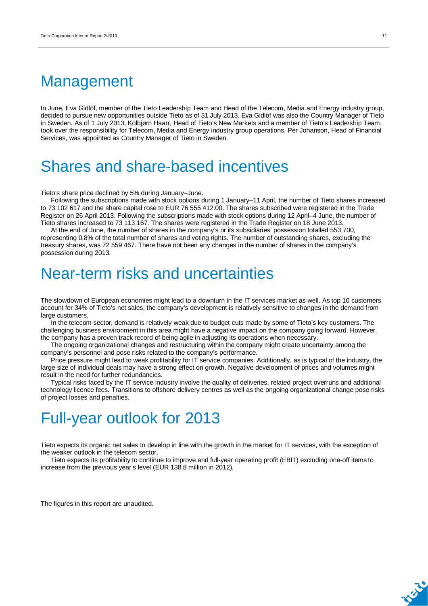## **Management**

In June, Eva Gidlöf, member of the Tieto Leadership Team and Head of the Telecom, Media and Energy industry group, decided to pursue new opportunities outside Tieto as of 31 July 2013. Eva Gidlöf was also the Country Manager of Tieto in Sweden. As of 1 July 2013, Kolbjørn Haarr, Head of Tieto's New Markets and a member of Tieto's Leadership Team, took over the responsibility for Telecom, Media and Energy industry group operations. Per Johanson, Head of Financial Services, was appointed as Country Manager of Tieto in Sweden.

## Shares and share-based incentives

Tieto's share price declined by 5% during January–June.

Following the subscriptions made with stock options during 1 January–11 April, the number of Tieto shares increased to 73 102 617 and the share capital rose to EUR 76 555 412.00. The shares subscribed were registered in the Trade Register on 26 April 2013. Following the subscriptions made with stock options during 12 April–4 June, the number of Tieto shares increased to 73 113 167. The shares were registered in the Trade Register on 18 June 2013.

At the end of June, the number of shares in the company's or its subsidiaries' possession totalled 553 700, representing 0.8% of the total number of shares and voting rights. The number of outstanding shares, excluding the treasury shares, was 72 559 467. There have not been any changes in the number of shares in the company's possession during 2013.

## Near-term risks and uncertainties

The slowdown of European economies might lead to a downturn in the IT services market as well. As top 10 customers account for 34% of Tieto's net sales, the company's development is relatively sensitive to changes in the demand from large customers.

In the telecom sector, demand is relatively weak due to budget cuts made by some of Tieto's key customers. The challenging business environment in this area might have a negative impact on the company going forward. However, the company has a proven track record of being agile in adjusting its operations when necessary.

The ongoing organizational changes and restructuring within the company might create uncertainty among the company's personnel and pose risks related to the company's performance.

Price pressure might lead to weak profitability for IT service companies. Additionally, as is typical of the industry, the large size of individual deals may have a strong effect on growth. Negative development of prices and volumes might result in the need for further redundancies.

Typical risks faced by the IT service industry involve the quality of deliveries, related project overruns and additional technology licence fees. Transitions to offshore delivery centres as well as the ongoing organizational change pose risks of project losses and penalties.

## Full-year outlook for 2013

Tieto expects its organic net sales to develop in line with the growth in the market for IT services, with the exception of the weaker outlook in the telecom sector.

Tieto expects its profitability to continue to improve and full-year operating profit (EBIT) excluding one-off items to increase from the previous year's level (EUR 138.8 million in 2012).

The figures in this report are unaudited.

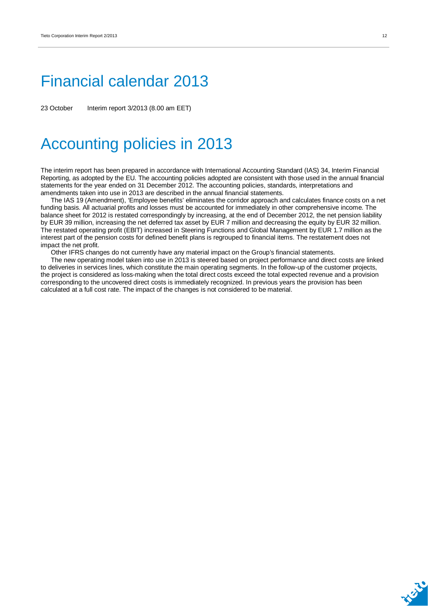## Financial calendar 2013

23 October Interim report 3/2013 (8.00 am EET)

## Accounting policies in 2013

The interim report has been prepared in accordance with International Accounting Standard (IAS) 34, Interim Financial Reporting, as adopted by the EU. The accounting policies adopted are consistent with those used in the annual financial statements for the year ended on 31 December 2012. The accounting policies, standards, interpretations and amendments taken into use in 2013 are described in the annual financial statements.

The IAS 19 (Amendment), 'Employee benefits' eliminates the corridor approach and calculates finance costs on a net funding basis. All actuarial profits and losses must be accounted for immediately in other comprehensive income. The balance sheet for 2012 is restated correspondingly by increasing, at the end of December 2012, the net pension liability by EUR 39 million, increasing the net deferred tax asset by EUR 7 million and decreasing the equity by EUR 32 million. The restated operating profit (EBIT) increased in Steering Functions and Global Management by EUR 1.7 million as the interest part of the pension costs for defined benefit plans is regrouped to financial items. The restatement does not impact the net profit.

Other IFRS changes do not currently have any material impact on the Group's financial statements.

The new operating model taken into use in 2013 is steered based on project performance and direct costs are linked to deliveries in services lines, which constitute the main operating segments. In the follow-up of the customer projects, the project is considered as loss-making when the total direct costs exceed the total expected revenue and a provision corresponding to the uncovered direct costs is immediately recognized. In previous years the provision has been calculated at a full cost rate. The impact of the changes is not considered to be material.

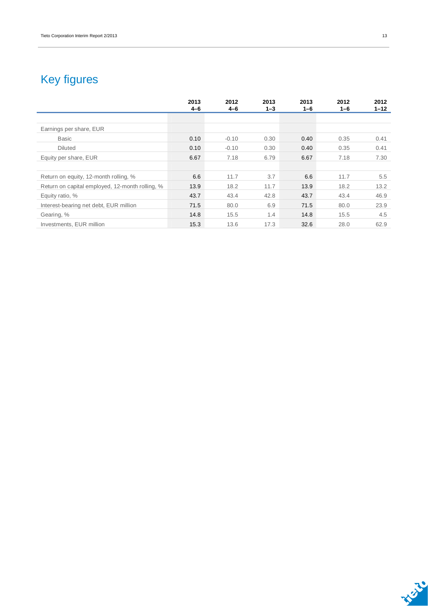## Key figures

|                                                 | 2013<br>$4 - 6$ | 2012<br>$4 - 6$ | 2013<br>$1 - 3$ | 2013<br>$1 - 6$ | 2012<br>1-6 | 2012<br>$1 - 12$ |
|-------------------------------------------------|-----------------|-----------------|-----------------|-----------------|-------------|------------------|
|                                                 |                 |                 |                 |                 |             |                  |
| Earnings per share, EUR                         |                 |                 |                 |                 |             |                  |
| <b>Basic</b>                                    | 0.10            | $-0.10$         | 0.30            | 0.40            | 0.35        | 0.41             |
| <b>Diluted</b>                                  | 0.10            | $-0.10$         | 0.30            | 0.40            | 0.35        | 0.41             |
| Equity per share, EUR                           | 6.67            | 7.18            | 6.79            | 6.67            | 7.18        | 7.30             |
|                                                 |                 |                 |                 |                 |             |                  |
| Return on equity, 12-month rolling, %           | 6.6             | 11.7            | 3.7             | 6.6             | 11.7        | 5.5              |
| Return on capital employed, 12-month rolling, % | 13.9            | 18.2            | 11.7            | 13.9            | 18.2        | 13.2             |
| Equity ratio, %                                 | 43.7            | 43.4            | 42.8            | 43.7            | 43.4        | 46.9             |
| Interest-bearing net debt, EUR million          | 71.5            | 80.0            | 6.9             | 71.5            | 80.0        | 23.9             |
| Gearing, %                                      | 14.8            | 15.5            | 1.4             | 14.8            | 15.5        | 4.5              |
| Investments, EUR million                        | 15.3            | 13.6            | 17.3            | 32.6            | 28.0        | 62.9             |

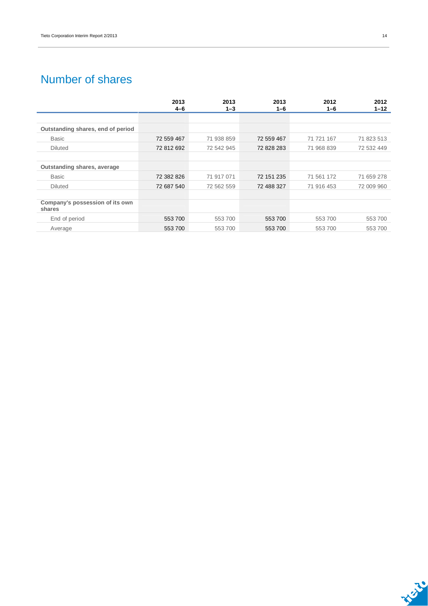### Number of shares

|                                           | 2013       | 2013       | 2013       | 2012       | 2012       |
|-------------------------------------------|------------|------------|------------|------------|------------|
|                                           | $4 - 6$    | $1 - 3$    | 1-6        | $1 - 6$    | $1 - 12$   |
|                                           |            |            |            |            |            |
| Outstanding shares, end of period         |            |            |            |            |            |
| <b>Basic</b>                              | 72 559 467 | 71 938 859 | 72 559 467 | 71 721 167 | 71 823 513 |
| <b>Diluted</b>                            | 72 812 692 | 72 542 945 | 72 828 283 | 71 968 839 | 72 532 449 |
|                                           |            |            |            |            |            |
| Outstanding shares, average               |            |            |            |            |            |
| <b>Basic</b>                              | 72 382 826 | 71 917 071 | 72 151 235 | 71 561 172 | 71 659 278 |
| <b>Diluted</b>                            | 72 687 540 | 72 562 559 | 72 488 327 | 71 916 453 | 72 009 960 |
|                                           |            |            |            |            |            |
| Company's possession of its own<br>shares |            |            |            |            |            |
| End of period                             | 553700     | 553 700    | 553 700    | 553700     | 553700     |
| Average                                   | 553 700    | 553 700    | 553 700    | 553700     | 553700     |

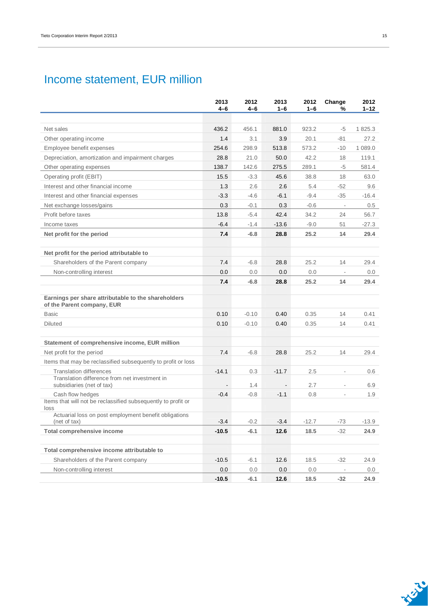### Income statement, EUR million

|                                                                                   | 2013<br>4-6     | 2012<br>$4-6$    | 2013<br>$1 - 6$              | 2012<br>$1 - 6$ | Change<br>%              | 2012<br>$1 - 12$ |
|-----------------------------------------------------------------------------------|-----------------|------------------|------------------------------|-----------------|--------------------------|------------------|
|                                                                                   |                 |                  |                              |                 |                          |                  |
| Net sales                                                                         | 436.2           | 456.1            | 881.0                        | 923.2           | -5                       | 1825.3           |
| Other operating income                                                            | 1.4             | 3.1              | 3.9                          | 20.1            | $-81$                    | 27.2             |
| Employee benefit expenses                                                         | 254.6           | 298.9            | 513.8                        | 573.2           | $-10$                    | 1 089.0          |
| Depreciation, amortization and impairment charges                                 | 28.8            | 21.0             | 50.0                         | 42.2            | 18                       | 119.1            |
| Other operating expenses                                                          | 138.7           | 142.6            | 275.5                        | 289.1           | -5                       | 581.4            |
| Operating profit (EBIT)                                                           | 15.5            | $-3.3$           | 45.6                         | 38.8            | 18                       | 63.0             |
| Interest and other financial income                                               | 1.3             | 2.6              | 2.6                          | 5.4             | $-52$                    | 9.6              |
| Interest and other financial expenses                                             | $-3.3$          | $-4.6$           | $-6.1$                       | $-9.4$          | $-35$                    | $-16.4$          |
| Net exchange losses/gains                                                         | 0.3             | $-0.1$           | 0.3                          | $-0.6$          | $\overline{\phantom{a}}$ | 0.5              |
| Profit before taxes                                                               | 13.8            | $-5.4$           | 42.4                         | 34.2            | 24                       | 56.7             |
| Income taxes                                                                      | $-6.4$          | $-1.4$           | $-13.6$                      | $-9.0$          | 51                       | $-27.3$          |
| Net profit for the period                                                         | 7.4             | $-6.8$           | 28.8                         | 25.2            | 14                       | 29.4             |
| Net profit for the period attributable to                                         |                 |                  |                              |                 |                          |                  |
| Shareholders of the Parent company                                                | 7.4             | $-6.8$           | 28.8                         | 25.2            | 14                       | 29.4             |
| Non-controlling interest                                                          | 0.0             | 0.0              | 0.0                          | 0.0             | $\overline{\phantom{a}}$ | 0.0              |
|                                                                                   | 7.4             | $-6.8$           | 28.8                         | 25.2            | 14                       | 29.4             |
|                                                                                   |                 |                  |                              |                 |                          |                  |
| Earnings per share attributable to the shareholders<br>of the Parent company, EUR |                 |                  |                              |                 |                          |                  |
| <b>Basic</b>                                                                      | 0.10            | $-0.10$          | 0.40                         | 0.35            | 14                       | 0.41             |
| <b>Diluted</b>                                                                    | 0.10            | $-0.10$          | 0.40                         | 0.35            | 14                       | 0.41             |
|                                                                                   |                 |                  |                              |                 |                          |                  |
| Statement of comprehensive income, EUR million                                    |                 |                  |                              |                 |                          |                  |
| Net profit for the period                                                         | 7.4             | $-6.8$           | 28.8                         | 25.2            | 14                       | 29.4             |
| Items that may be reclassified subsequently to profit or loss                     |                 |                  |                              |                 |                          |                  |
| <b>Translation differences</b>                                                    | $-14.1$         | 0.3              | $-11.7$                      | 2.5             | $\frac{1}{2}$            | 0.6              |
| Translation difference from net investment in<br>subsidiaries (net of tax)        |                 | 1.4              | $\qquad \qquad \blacksquare$ | 2.7             | L.                       | 6.9              |
| Cash flow hedges                                                                  | $-0.4$          | $-0.8$           | $-1.1$                       | 0.8             | ä,                       | 1.9              |
| Items that will not be reclassified subsequently to profit or<br>loss             |                 |                  |                              |                 |                          |                  |
| Actuarial loss on post employment benefit obligations                             |                 |                  |                              |                 |                          |                  |
| (net of tax)<br>Total comprehensive income                                        | -3.4<br>$-10.5$ | $-0.2$<br>$-6.1$ | $-3.4$<br>12.6               | $-12.7$<br>18.5 | $-73$<br>$-32$           | $-13.9$<br>24.9  |
|                                                                                   |                 |                  |                              |                 |                          |                  |
| Total comprehensive income attributable to                                        |                 |                  |                              |                 |                          |                  |
| Shareholders of the Parent company                                                | $-10.5$         | $-6.1$           | 12.6                         | 18.5            | $-32$                    | 24.9             |
| Non-controlling interest                                                          | 0.0             | 0.0              | 0.0                          | 0.0             |                          | $0.0\,$          |
|                                                                                   | $-10.5$         | $-6.1$           | 12.6                         | 18.5            | $-32$                    | 24.9             |

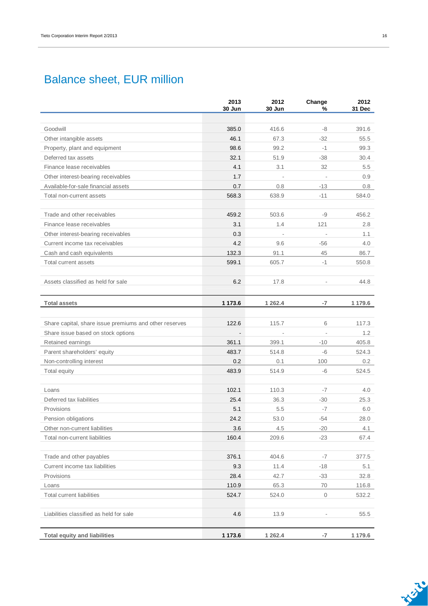### Balance sheet, EUR million

|                                                        | 2013<br>30 Jun | 2012<br>30 Jun | Change<br>%              | 2012<br>31 Dec |
|--------------------------------------------------------|----------------|----------------|--------------------------|----------------|
|                                                        |                |                |                          |                |
| Goodwill                                               | 385.0          | 416.6          | -8                       | 391.6          |
| Other intangible assets                                | 46.1           | 67.3           | $-32$                    | 55.5           |
| Property, plant and equipment                          | 98.6           | 99.2           | $-1$                     | 99.3           |
| Deferred tax assets                                    | 32.1           | 51.9           | $-38$                    | 30.4           |
| Finance lease receivables                              | 4.1            | 3.1            | 32                       | 5.5            |
| Other interest-bearing receivables                     | 1.7            |                |                          | 0.9            |
| Available-for-sale financial assets                    | 0.7            | 0.8            | $-13$                    | 0.8            |
| Total non-current assets                               | 568.3          | 638.9          | $-11$                    | 584.0          |
|                                                        |                |                |                          |                |
| Trade and other receivables                            | 459.2          | 503.6          | -9                       | 456.2          |
| Finance lease receivables                              | 3.1            | 1.4            | 121                      | 2.8            |
| Other interest-bearing receivables                     | 0.3            |                | $\overline{\phantom{a}}$ | 1.1            |
| Current income tax receivables                         | 4.2            | 9.6            | $-56$                    | 4.0            |
| Cash and cash equivalents                              | 132.3          | 91.1           | 45                       | 86.7           |
| Total current assets                                   | 599.1          | 605.7          | $-1$                     | 550.8          |
|                                                        |                |                |                          |                |
| Assets classified as held for sale                     | 6.2            | 17.8           | $\frac{1}{2}$            | 44.8           |
|                                                        |                |                |                          |                |
| <b>Total assets</b>                                    | 1 173.6        | 1 2 6 2.4      | $-7$                     | 1 179.6        |
|                                                        |                |                |                          |                |
| Share capital, share issue premiums and other reserves | 122.6          | 115.7          | 6                        | 117.3          |
| Share issue based on stock options                     | $\blacksquare$ | Ĭ.             | $\blacksquare$           | 1.2            |
| Retained earnings                                      | 361.1          | 399.1          | $-10$                    | 405.8          |
| Parent shareholders' equity                            | 483.7          | 514.8          | $-6$                     | 524.3          |
| Non-controlling interest                               | 0.2            | 0.1            | 100                      | 0.2            |
| Total equity                                           | 483.9          | 514.9          | -6                       | 524.5          |
|                                                        |                |                |                          |                |
| Loans                                                  | 102.1          | 110.3          | $-7$                     | 4.0            |
| Deferred tax liabilities                               | 25.4           | 36.3           | $-30$                    | 25.3           |
| Provisions                                             | 5.1            | 5.5            | $-7$                     | 6.0            |
| Pension obligations                                    | 24.2           | 53.0           | $-54$                    | 28.0           |
| Other non-current liabilities                          | 3.6            | 4.5            | $-20$                    | 4.1            |
| Total non-current liabilities                          | 160.4          | 209.6          | $-23$                    | 67.4           |
|                                                        |                |                |                          |                |
| Trade and other payables                               | 376.1          | 404.6          | $-7$                     | 377.5          |
| Current income tax liabilities                         | 9.3            | 11.4           | $-18$                    | 5.1            |
| Provisions                                             | 28.4           | 42.7           | $-33$                    | 32.8           |
| Loans                                                  | 110.9          | 65.3           | 70                       | 116.8          |
| <b>Total current liabilities</b>                       | 524.7          | 524.0          | $\mathbf 0$              | 532.2          |
|                                                        |                |                |                          |                |
| Liabilities classified as held for sale                | 4.6            | 13.9           |                          | 55.5           |
|                                                        |                |                |                          |                |
| <b>Total equity and liabilities</b>                    | 1 173.6        | 1 2 6 2.4      | $-7$                     | 1 179.6        |

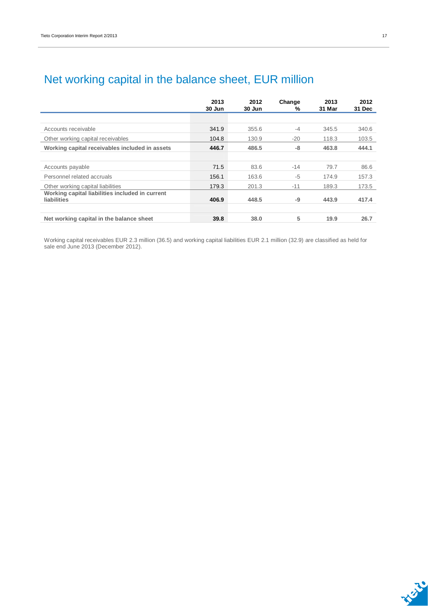|                                                                       | 2013<br>30 Jun | 2012<br>30 Jun | Change<br>% | 2013<br>31 Mar | 2012<br>31 Dec |
|-----------------------------------------------------------------------|----------------|----------------|-------------|----------------|----------------|
|                                                                       |                |                |             |                |                |
| Accounts receivable                                                   | 341.9          | 355.6          | $-4$        | 345.5          | 340.6          |
| Other working capital receivables                                     | 104.8          | 130.9          | $-20$       | 118.3          | 103.5          |
| Working capital receivables included in assets                        | 446.7          | 486.5          | -8          | 463.8          | 444.1          |
|                                                                       |                |                |             |                |                |
| Accounts payable                                                      | 71.5           | 83.6           | $-14$       | 79.7           | 86.6           |
| Personnel related accruals                                            | 156.1          | 163.6          | $-5$        | 174.9          | 157.3          |
| Other working capital liabilities                                     | 179.3          | 201.3          | $-11$       | 189.3          | 173.5          |
| Working capital liabilities included in current<br><b>liabilities</b> | 406.9          | 448.5          | -9          | 443.9          | 417.4          |
| Net working capital in the balance sheet                              | 39.8           | 38.0           | 5           | 19.9           | 26.7           |

### Net working capital in the balance sheet, EUR million

Working capital receivables EUR 2.3 million (36.5) and working capital liabilities EUR 2.1 million (32.9) are classified as held for sale end June 2013 (December 2012).

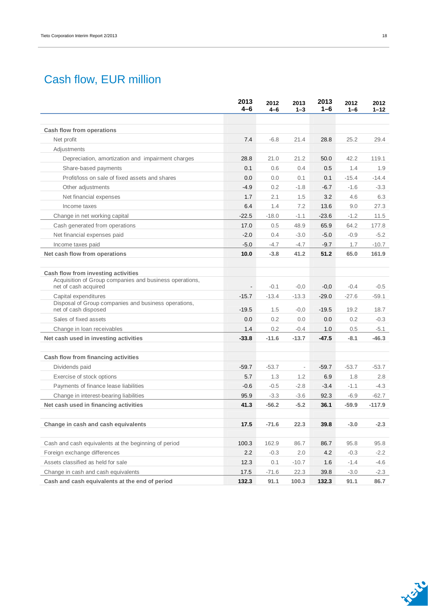### Cash flow, EUR million

|                                                                                 | 2013<br>4-6              | 2012<br>4-6 | 2013<br>$1 - 3$          | 2013<br>$1 - 6$ | 2012<br>$1 - 6$ | 2012<br>$1 - 12$ |
|---------------------------------------------------------------------------------|--------------------------|-------------|--------------------------|-----------------|-----------------|------------------|
|                                                                                 |                          |             |                          |                 |                 |                  |
| Cash flow from operations                                                       |                          |             |                          |                 |                 |                  |
| Net profit                                                                      | 7.4                      | $-6.8$      | 21.4                     | 28.8            | 25.2            | 29.4             |
| Adjustments                                                                     |                          |             |                          |                 |                 |                  |
| Depreciation, amortization and impairment charges                               | 28.8                     | 21.0        | 21.2                     | 50.0            | 42.2            | 119.1            |
| Share-based payments                                                            | 0.1                      | 0.6         | 0.4                      | 0.5             | 1.4             | 1.9              |
| Profit/loss on sale of fixed assets and shares                                  | 0.0                      | 0.0         | 0.1                      | 0.1             | $-15.4$         | $-14.4$          |
| Other adjustments                                                               | -4.9                     | 0.2         | $-1.8$                   | $-6.7$          | $-1.6$          | $-3.3$           |
| Net financial expenses                                                          | 1.7                      | 2.1         | 1.5                      | 3.2             | 4.6             | 6.3              |
| Income taxes                                                                    | 6.4                      | 1.4         | 7.2                      | 13.6            | 9.0             | 27.3             |
| Change in net working capital                                                   | $-22.5$                  | $-18.0$     | $-1.1$                   | $-23.6$         | $-1.2$          | 11.5             |
| Cash generated from operations                                                  | 17.0                     | 0.5         | 48.9                     | 65.9            | 64.2            | 177.8            |
| Net financial expenses paid                                                     | $-2.0$                   | 0.4         | $-3.0$                   | $-5.0$          | $-0.9$          | $-5.2$           |
| Income taxes paid                                                               | $-5.0$                   | $-4.7$      | $-4.7$                   | $-9.7$          | 1.7             | $-10.7$          |
| Net cash flow from operations                                                   | 10.0                     | $-3.8$      | 41.2                     | 51.2            | 65.0            | 161.9            |
|                                                                                 |                          |             |                          |                 |                 |                  |
| Cash flow from investing activities                                             |                          |             |                          |                 |                 |                  |
| Acquisition of Group companies and business operations,<br>net of cash acquired | $\overline{\phantom{a}}$ | $-0.1$      | $-0,0$                   | $-0,0$          | $-0.4$          | $-0.5$           |
| Capital expenditures                                                            | $-15.7$                  | $-13.4$     | $-13.3$                  | $-29.0$         | $-27.6$         | $-59.1$          |
| Disposal of Group companies and business operations,                            |                          |             |                          |                 |                 |                  |
| net of cash disposed                                                            | $-19.5$                  | 1.5         | $-0,0$                   | $-19.5$         | 19.2            | 18.7             |
| Sales of fixed assets                                                           | 0.0                      | 0.2         | 0.0                      | 0.0             | 0.2             | $-0.3$           |
| Change in loan receivables                                                      | 1.4                      | 0.2         | $-0.4$                   | 1.0             | 0.5             | -5.1             |
| Net cash used in investing activities                                           | $-33.8$                  | $-11.6$     | $-13.7$                  | $-47.5$         | $-8.1$          | $-46.3$          |
| Cash flow from financing activities                                             |                          |             |                          |                 |                 |                  |
| Dividends paid                                                                  | $-59.7$                  | $-53.7$     | $\overline{\phantom{a}}$ | $-59.7$         | $-53.7$         | $-53.7$          |
| Exercise of stock options                                                       | 5.7                      | 1.3         | 1.2                      | 6.9             | 1.8             | 2.8              |
| Payments of finance lease liabilities                                           | $-0.6$                   | $-0.5$      | $-2.8$                   | $-3.4$          | $-1.1$          | $-4.3$           |
| Change in interest-bearing liabilities                                          | 95.9                     | $-3.3$      | $-3.6$                   | 92.3            | $-6.9$          | -62.7            |
| Net cash used in financing activities                                           | 41.3                     | $-56.2$     | $-5.2$                   | 36.1            | $-59.9$         | $-117.9$         |
|                                                                                 |                          |             |                          |                 |                 |                  |
| Change in cash and cash equivalents                                             | 17.5                     | $-71.6$     | 22.3                     | 39.8            | $-3.0$          | $-2.3$           |
| Cash and cash equivalents at the beginning of period                            | 100.3                    | 162.9       | 86.7                     | 86.7            | 95.8            | 95.8             |
| Foreign exchange differences                                                    | 2.2                      | $-0.3$      | 2.0                      | 4.2             | $-0.3$          | $-2.2$           |
| Assets classified as held for sale                                              | 12.3                     | 0.1         | $-10.7$                  | 1.6             | $-1.4$          | $-4.6$           |
| Change in cash and cash equivalents                                             | 17.5                     | $-71.6$     | 22.3                     | 39.8            | $-3.0$          | $-2.3$           |
| Cash and cash equivalents at the end of period                                  | 132.3                    | 91.1        | 100.3                    | 132.3           | 91.1            | 86.7             |

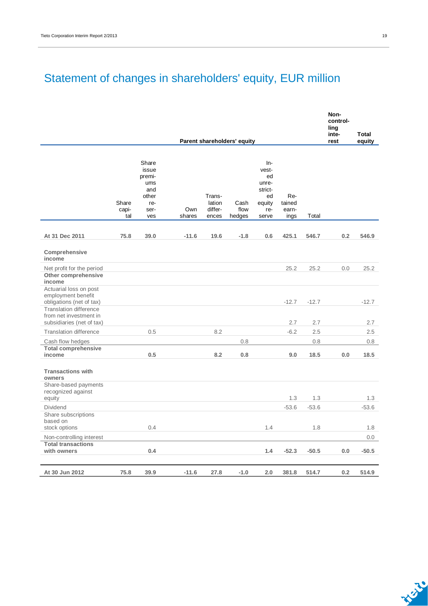## Statement of changes in shareholders' equity, EUR million

|                                                                                      |                       |                                                                       |               |                                      |                             |                                                                          |                                |         | Non-<br>control-<br>ling<br>inte- | <b>Total</b> |
|--------------------------------------------------------------------------------------|-----------------------|-----------------------------------------------------------------------|---------------|--------------------------------------|-----------------------------|--------------------------------------------------------------------------|--------------------------------|---------|-----------------------------------|--------------|
|                                                                                      |                       |                                                                       |               |                                      | Parent shareholders' equity |                                                                          |                                |         | rest                              | equity       |
|                                                                                      | Share<br>capi-<br>tal | Share<br>issue<br>premi-<br>ums<br>and<br>other<br>re-<br>ser-<br>ves | Own<br>shares | Trans-<br>lation<br>differ-<br>ences | Cash<br>flow<br>hedges      | $In-$<br>vest-<br>ed<br>unre-<br>strict-<br>ed<br>equity<br>re-<br>serve | Re-<br>tained<br>earn-<br>ings | Total   |                                   |              |
| At 31 Dec 2011                                                                       | 75.8                  |                                                                       | $-11.6$       | 19.6                                 | $-1.8$                      | 0.6                                                                      |                                | 546.7   | 0.2                               | 546.9        |
| Comprehensive<br>income                                                              |                       | 39.0                                                                  |               |                                      |                             |                                                                          | 425.1                          |         |                                   |              |
| Net profit for the period<br>Other comprehensive<br>income                           |                       |                                                                       |               |                                      |                             |                                                                          | 25.2                           | 25.2    | 0.0                               | 25.2         |
| Actuarial loss on post<br>employment benefit<br>obligations (net of tax)             |                       |                                                                       |               |                                      |                             |                                                                          | $-12.7$                        | $-12.7$ |                                   | $-12.7$      |
| <b>Translation difference</b><br>from net investment in<br>subsidiaries (net of tax) |                       |                                                                       |               |                                      |                             |                                                                          | 2.7                            | 2.7     |                                   | 2.7          |
| <b>Translation difference</b>                                                        |                       | 0.5                                                                   |               | 8.2                                  |                             |                                                                          | $-6.2$                         | 2.5     |                                   | 2.5          |
| Cash flow hedges                                                                     |                       |                                                                       |               |                                      | 0.8                         |                                                                          |                                | 0.8     |                                   | 0.8          |
| <b>Total comprehensive</b><br>income                                                 |                       | 0.5                                                                   |               | 8.2                                  | 0.8                         |                                                                          | 9.0                            | 18.5    | 0.0                               | 18.5         |
| <b>Transactions with</b><br>owners<br>Share-based payments                           |                       |                                                                       |               |                                      |                             |                                                                          |                                |         |                                   |              |
| recognized against<br>equity                                                         |                       |                                                                       |               |                                      |                             |                                                                          | 1.3                            | 1.3     |                                   | 1.3          |
| <b>Dividend</b>                                                                      |                       |                                                                       |               |                                      |                             |                                                                          | $-53.6$                        | $-53.6$ |                                   | $-53.6$      |
| Share subscriptions<br>based on                                                      |                       |                                                                       |               |                                      |                             |                                                                          |                                |         |                                   |              |
| stock options                                                                        |                       | 0.4                                                                   |               |                                      |                             | 1.4                                                                      |                                | 1.8     |                                   | 1.8          |
| Non-controlling interest                                                             |                       |                                                                       |               |                                      |                             |                                                                          |                                |         |                                   | 0.0          |
| <b>Total transactions</b><br>with owners                                             |                       | 0.4                                                                   |               |                                      |                             | 1.4                                                                      | $-52.3$                        | $-50.5$ | 0.0                               | $-50.5$      |
|                                                                                      |                       |                                                                       |               |                                      |                             |                                                                          |                                |         |                                   |              |
| At 30 Jun 2012                                                                       | 75.8                  | 39.9                                                                  | $-11.6$       | 27.8                                 | $-1.0$                      | 2.0                                                                      | 381.8                          | 514.7   | 0.2                               | 514.9        |

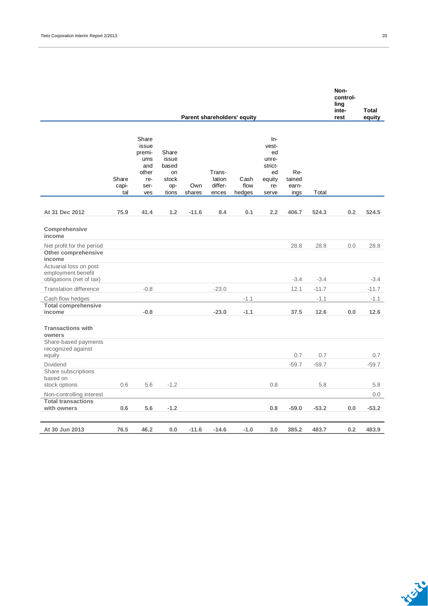| Parent shareholders' equity                                              |                       |                                                                       |                                                        |               |                                      |                        |                                                                        |                                |         | control-<br>ling<br>inte-<br>rest | <b>Total</b><br>equity |
|--------------------------------------------------------------------------|-----------------------|-----------------------------------------------------------------------|--------------------------------------------------------|---------------|--------------------------------------|------------------------|------------------------------------------------------------------------|--------------------------------|---------|-----------------------------------|------------------------|
|                                                                          | Share<br>capi-<br>tal | Share<br>issue<br>premi-<br>ums<br>and<br>other<br>re-<br>ser-<br>ves | Share<br>issue<br>based<br>on<br>stock<br>op-<br>tions | Own<br>shares | Trans-<br>lation<br>differ-<br>ences | Cash<br>flow<br>hedges | In-<br>vest-<br>ed<br>unre-<br>strict-<br>ed<br>equity<br>re-<br>serve | Re-<br>tained<br>earn-<br>ings | Total   |                                   |                        |
| At 31 Dec 2012                                                           | 75.9                  | 41.4                                                                  | 1.2                                                    | $-11.6$       | 8.4                                  | 0.1                    | 2.2                                                                    | 406.7                          | 524.3   | 0.2                               | 524.5                  |
| Comprehensive<br>income                                                  |                       |                                                                       |                                                        |               |                                      |                        |                                                                        |                                |         |                                   |                        |
| Net profit for the period<br>Other comprehensive<br>income               |                       |                                                                       |                                                        |               |                                      |                        |                                                                        | 28.8                           | 28.8    | 0.0                               | 28.8                   |
| Actuarial loss on post<br>employment benefit<br>obligations (net of tax) |                       |                                                                       |                                                        |               |                                      |                        |                                                                        | $-3.4$                         | $-3.4$  |                                   | $-3.4$                 |
| <b>Translation difference</b>                                            |                       | $-0.8$                                                                |                                                        |               | $-23.0$                              |                        |                                                                        | 12.1                           | $-11.7$ |                                   | $-11.7$                |
| Cash flow hedges                                                         |                       |                                                                       |                                                        |               |                                      | $-1.1$                 |                                                                        |                                | $-1.1$  |                                   | $-1.1$                 |
| <b>Total comprehensive</b><br>income                                     |                       | $-0.8$                                                                |                                                        |               | $-23.0$                              | $-1.1$                 |                                                                        | 37.5                           | 12.6    | 0.0                               | 12.6                   |
| <b>Transactions with</b><br>owners                                       |                       |                                                                       |                                                        |               |                                      |                        |                                                                        |                                |         |                                   |                        |
| Share-based payments<br>recognized against<br>equity                     |                       |                                                                       |                                                        |               |                                      |                        |                                                                        | 0.7                            | 0.7     |                                   | 0.7                    |
| Dividend                                                                 |                       |                                                                       |                                                        |               |                                      |                        |                                                                        | $-59.7$                        | $-59.7$ |                                   | $-59.7$                |
| Share subscriptions<br>based on                                          |                       |                                                                       |                                                        |               |                                      |                        |                                                                        |                                |         |                                   |                        |
| stock options                                                            | 0.6                   | 5.6                                                                   | $-1.2$                                                 |               |                                      |                        | 0.8                                                                    |                                | 5.8     |                                   | 5.8                    |
| Non-controlling interest<br><b>Total transactions</b><br>with owners     | 0.6                   | 5.6                                                                   | $-1.2$                                                 |               |                                      |                        | 0.8                                                                    | $-59.0$                        | $-53.2$ | 0.0                               | 0.0<br>$-53.2$         |
| At 30 Jun 2013                                                           | 76.5                  | 46.2                                                                  | 0.0                                                    | $-11.6$       | $-14.6$                              | $-1.0$                 | 3.0                                                                    | 385.2                          | 483.7   | 0.2                               | 483.9                  |



**Non-**

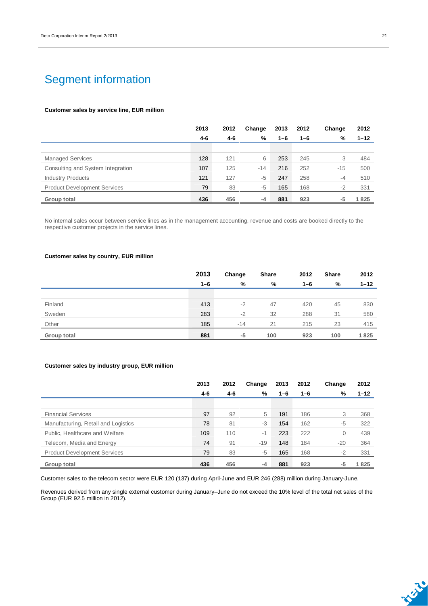### Segment information

#### **Customer sales by service line, EUR million**

|                                     | 2013    | 2012    | Change | 2013    | 2012    | Change | 2012     |
|-------------------------------------|---------|---------|--------|---------|---------|--------|----------|
|                                     | $4 - 6$ | $4 - 6$ | %      | $1 - 6$ | $1 - 6$ | %      | $1 - 12$ |
|                                     |         |         |        |         |         |        |          |
| <b>Managed Services</b>             | 128     | 121     | 6      | 253     | 245     | 3      | 484      |
| Consulting and System Integration   | 107     | 125     | $-14$  | 216     | 252     | $-15$  | 500      |
| <b>Industry Products</b>            | 121     | 127     | $-5$   | 247     | 258     | -4     | 510      |
| <b>Product Development Services</b> | 79      | 83      | $-5$   | 165     | 168     | $-2$   | 331      |
| Group total                         | 436     | 456     | $-4$   | 881     | 923     | -5     | 1825     |

No internal sales occur between service lines as in the management accounting, revenue and costs are booked directly to the respective customer projects in the service lines.

#### **Customer sales by country, EUR million**

|             | 2013    | Change | Share | 2012    | <b>Share</b> | 2012     |
|-------------|---------|--------|-------|---------|--------------|----------|
|             | $1 - 6$ | %      | %     | $1 - 6$ | %            | $1 - 12$ |
|             |         |        |       |         |              |          |
| Finland     | 413     | $-2$   | 47    | 420     | 45           | 830      |
| Sweden      | 283     | $-2$   | 32    | 288     | 31           | 580      |
| Other       | 185     | $-14$  | 21    | 215     | 23           | 415      |
| Group total | 881     | -5     | 100   | 923     | 100          | 1825     |

#### **Customer sales by industry group, EUR million**

|                                     | 2013    | 2012 | Change | 2013    | 2012    | Change | 2012     |
|-------------------------------------|---------|------|--------|---------|---------|--------|----------|
|                                     | $4 - 6$ | 4-6  | %      | $1 - 6$ | $1 - 6$ | %      | $1 - 12$ |
|                                     |         |      |        |         |         |        |          |
| <b>Financial Services</b>           | 97      | 92   | 5      | 191     | 186     | 3      | 368      |
| Manufacturing, Retail and Logistics | 78      | 81   | -3     | 154     | 162     | $-5$   | 322      |
| Public, Healthcare and Welfare      | 109     | 110  | $-1$   | 223     | 222     | 0      | 439      |
| Telecom, Media and Energy           | 74      | 91   | $-19$  | 148     | 184     | $-20$  | 364      |
| <b>Product Development Services</b> | 79      | 83   | -5     | 165     | 168     | $-2$   | 331      |
| Group total                         | 436     | 456  | -4     | 881     | 923     | -5     | 1825     |

Customer sales to the telecom sector were EUR 120 (137) during April-June and EUR 246 (288) million during January-June.

Revenues derived from any single external customer during January–June do not exceed the 10% level of the total net sales of the Group (EUR 92.5 million in 2012).

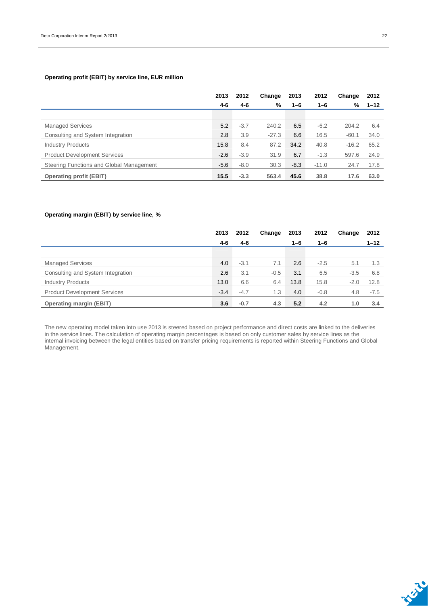#### **Operating profit (EBIT) by service line, EUR million**

|                                          | 2013   | 2012   | Change  | 2013    | 2012    | Change  | 2012     |
|------------------------------------------|--------|--------|---------|---------|---------|---------|----------|
|                                          | 4-6    | 4-6    | %       | $1 - 6$ | $1 - 6$ | %       | $1 - 12$ |
|                                          |        |        |         |         |         |         |          |
| <b>Managed Services</b>                  | 5.2    | $-3.7$ | 240.2   | 6.5     | $-6.2$  | 204.2   | 6.4      |
| Consulting and System Integration        | 2.8    | 3.9    | $-27.3$ | 6.6     | 16.5    | $-60.1$ | 34.0     |
| <b>Industry Products</b>                 | 15.8   | 8.4    | 87.2    | 34.2    | 40.8    | $-16.2$ | 65.2     |
| <b>Product Development Services</b>      | $-2.6$ | $-3.9$ | 31.9    | 6.7     | $-1.3$  | 597.6   | 24.9     |
| Steering Functions and Global Management | $-5.6$ | $-8.0$ | 30.3    | $-8.3$  | $-11.0$ | 24.7    | 17.8     |
| <b>Operating profit (EBIT)</b>           | 15.5   | $-3.3$ | 563.4   | 45.6    | 38.8    | 17.6    | 63.0     |

#### **Operating margin (EBIT) by service line, %**

|                                     | 2013   | 2012   | Change | 2013    | 2012    | Change | 2012     |
|-------------------------------------|--------|--------|--------|---------|---------|--------|----------|
|                                     | 4-6    | 4-6    |        | $1 - 6$ | $1 - 6$ |        | $1 - 12$ |
|                                     |        |        |        |         |         |        |          |
| <b>Managed Services</b>             | 4.0    | $-3.1$ | 7.1    | 2.6     | $-2.5$  | 5.1    | 1.3      |
| Consulting and System Integration   | 2.6    | 3.1    | $-0.5$ | 3.1     | 6.5     | $-3.5$ | 6.8      |
| <b>Industry Products</b>            | 13.0   | 6.6    | 6.4    | 13.8    | 15.8    | $-2.0$ | 12.8     |
| <b>Product Development Services</b> | $-3.4$ | $-4.7$ | 1.3    | 4.0     | $-0.8$  | 4.8    | $-7.5$   |
| <b>Operating margin (EBIT)</b>      | 3.6    | $-0.7$ | 4.3    | 5.2     | 4.2     | 1.0    | 3.4      |

The new operating model taken into use 2013 is steered based on project performance and direct costs are linked to the deliveries in the service lines. The calculation of operating margin percentages is based on only customer sales by service lines as the internal invoicing between the legal entities based on transfer pricing requirements is reported within Steering Functions and Global Management.

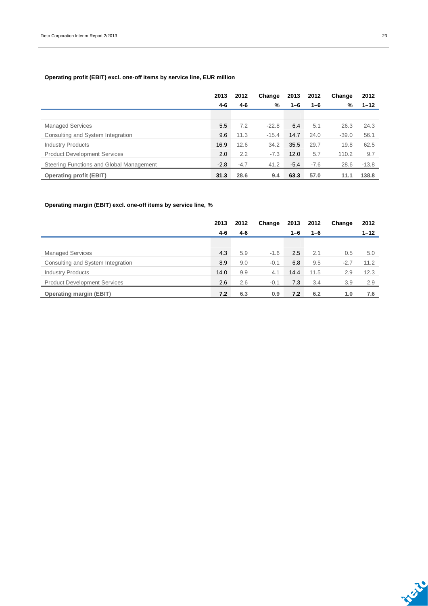#### **Operating profit (EBIT) excl. one-off items by service line, EUR million**

|                                          | 2013   | 2012   | Change  | 2013    | 2012    | Change  | 2012     |
|------------------------------------------|--------|--------|---------|---------|---------|---------|----------|
|                                          | 4-6    | 4-6    | %       | $1 - 6$ | $1 - 6$ | %       | $1 - 12$ |
|                                          |        |        |         |         |         |         |          |
| <b>Managed Services</b>                  | 5.5    | 7.2    | $-22.8$ | 6.4     | 5.1     | 26.3    | 24.3     |
| Consulting and System Integration        | 9.6    | 11.3   | $-15.4$ | 14.7    | 24.0    | $-39.0$ | 56.1     |
| <b>Industry Products</b>                 | 16.9   | 12.6   | 34.2    | 35.5    | 29.7    | 19.8    | 62.5     |
| <b>Product Development Services</b>      | 2.0    | 2.2    | $-7.3$  | 12.0    | 5.7     | 110.2   | 9.7      |
| Steering Functions and Global Management | $-2.8$ | $-4.7$ | 41.2    | $-5.4$  | $-7.6$  | 28.6    | $-13.8$  |
| <b>Operating profit (EBIT)</b>           | 31.3   | 28.6   | 9.4     | 63.3    | 57.0    | 11.1    | 138.8    |

#### **Operating margin (EBIT) excl. one-off items by service line, %**

|                                     | 2013 | 2012    | Change | 2013    | 2012    | Change | 2012     |
|-------------------------------------|------|---------|--------|---------|---------|--------|----------|
|                                     | 4-6  | $4 - 6$ |        | $1 - 6$ | $1 - 6$ |        | $1 - 12$ |
|                                     |      |         |        |         |         |        |          |
| <b>Managed Services</b>             | 4.3  | 5.9     | $-1.6$ | 2.5     | 2.1     | 0.5    | 5.0      |
| Consulting and System Integration   | 8.9  | 9.0     | $-0.1$ | 6.8     | 9.5     | $-2.7$ | 11.2     |
| <b>Industry Products</b>            | 14.0 | 9.9     | 4.1    | 14.4    | 11.5    | 2.9    | 12.3     |
| <b>Product Development Services</b> | 2.6  | 2.6     | $-0.1$ | 7.3     | 3.4     | 3.9    | 2.9      |
| <b>Operating margin (EBIT)</b>      | 7.2  | 6.3     | 0.9    | 7.2     | 6.2     | 1.0    | 7.6      |

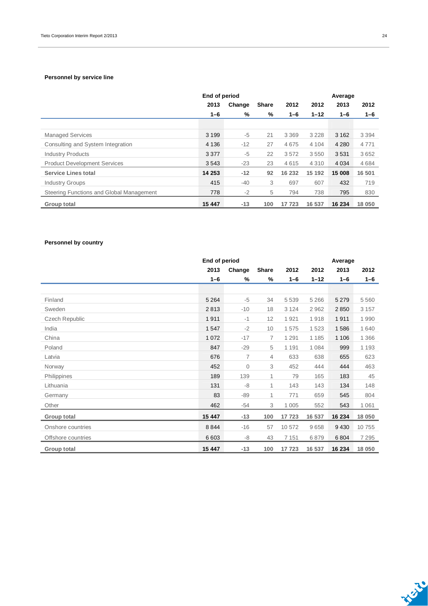#### **Personnel by service line**

|                                          | End of period |        |              |         |          | Average |         |  |  |
|------------------------------------------|---------------|--------|--------------|---------|----------|---------|---------|--|--|
|                                          | 2013          | Change | <b>Share</b> | 2012    | 2012     | 2013    | 2012    |  |  |
|                                          | $1 - 6$       | %      | %            | 1-6     | $1 - 12$ | $1 - 6$ | 1-6     |  |  |
|                                          |               |        |              |         |          |         |         |  |  |
| <b>Managed Services</b>                  | 3 1 9 9       | $-5$   | 21           | 3 3 6 9 | 3 2 2 8  | 3 1 6 2 | 3 3 9 4 |  |  |
| Consulting and System Integration        | 4 1 3 6       | $-12$  | 27           | 4675    | 4 1 0 4  | 4 2 8 0 | 4771    |  |  |
| <b>Industry Products</b>                 | 3 3 7 7       | $-5$   | 22           | 3572    | 3550     | 3531    | 3652    |  |  |
| <b>Product Development Services</b>      | 3543          | $-23$  | 23           | 4615    | 4 3 1 0  | 4 0 3 4 | 4684    |  |  |
| <b>Service Lines total</b>               | 14 253        | $-12$  | 92           | 16 232  | 15 192   | 15 008  | 16 501  |  |  |
| <b>Industry Groups</b>                   | 415           | $-40$  | 3            | 697     | 607      | 432     | 719     |  |  |
| Steering Functions and Global Management | 778           | $-2$   | 5            | 794     | 738      | 795     | 830     |  |  |
| Group total                              | 15 447        | $-13$  | 100          | 17 723  | 16 537   | 16 234  | 18 050  |  |  |

#### **Personnel by country**

|                    | End of period |                |                |         |          | Average |         |  |  |  |  |
|--------------------|---------------|----------------|----------------|---------|----------|---------|---------|--|--|--|--|
|                    | 2013          | Change         | <b>Share</b>   | 2012    | 2012     | 2013    | 2012    |  |  |  |  |
|                    | $1 - 6$       | %              | %              | $1 - 6$ | $1 - 12$ | $1 - 6$ | $1 - 6$ |  |  |  |  |
|                    |               |                |                |         |          |         |         |  |  |  |  |
| Finland            | 5 2 6 4       | $-5$           | 34             | 5 5 3 9 | 5 2 6 6  | 5 2 7 9 | 5 5 6 0 |  |  |  |  |
| Sweden             | 2813          | $-10$          | 18             | 3 1 2 4 | 2962     | 2850    | 3 1 5 7 |  |  |  |  |
| Czech Republic     | 1911          | $-1$           | 12             | 1921    | 1918     | 1911    | 1990    |  |  |  |  |
| India              | 1547          | $-2$           | 10             | 1575    | 1523     | 1586    | 1 6 4 0 |  |  |  |  |
| China              | 1 0 7 2       | $-17$          | $\overline{7}$ | 1 2 9 1 | 1 1 8 5  | 1 1 0 6 | 1 3 6 6 |  |  |  |  |
| Poland             | 847           | $-29$          | 5              | 1 1 9 1 | 1 0 8 4  | 999     | 1 1 9 3 |  |  |  |  |
| Latvia             | 676           | $\overline{7}$ | 4              | 633     | 638      | 655     | 623     |  |  |  |  |
| Norway             | 452           | $\overline{0}$ | 3              | 452     | 444      | 444     | 463     |  |  |  |  |
| Philippines        | 189           | 139            | $\mathbf{1}$   | 79      | 165      | 183     | 45      |  |  |  |  |
| Lithuania          | 131           | $-8$           | 1              | 143     | 143      | 134     | 148     |  |  |  |  |
| Germany            | 83            | $-89$          | 1              | 771     | 659      | 545     | 804     |  |  |  |  |
| Other              | 462           | $-54$          | 3              | 1 0 0 5 | 552      | 543     | 1 0 6 1 |  |  |  |  |
| <b>Group total</b> | 15 447        | $-13$          | 100            | 17723   | 16 537   | 16 234  | 18 050  |  |  |  |  |
| Onshore countries  | 8844          | $-16$          | 57             | 10 572  | 9658     | 9430    | 10 755  |  |  |  |  |
| Offshore countries | 6 6 0 3       | -8             | 43             | 7 1 5 1 | 6879     | 6804    | 7 2 9 5 |  |  |  |  |
| <b>Group total</b> | 15 447        | $-13$          | 100            | 17723   | 16 537   | 16 234  | 18 050  |  |  |  |  |

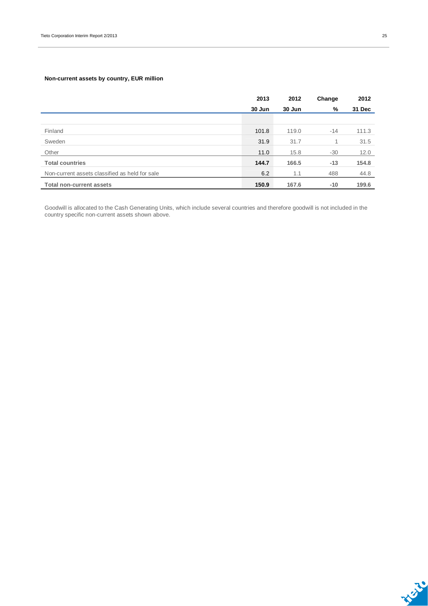#### **Non-current assets by country, EUR million**

|                                                | 2013   | 2012   | Change | 2012   |
|------------------------------------------------|--------|--------|--------|--------|
|                                                | 30 Jun | 30 Jun | %      | 31 Dec |
|                                                |        |        |        |        |
| Finland                                        | 101.8  | 119.0  | $-14$  | 111.3  |
| Sweden                                         | 31.9   | 31.7   | 1      | 31.5   |
| Other                                          | 11.0   | 15.8   | -30    | 12.0   |
| <b>Total countries</b>                         | 144.7  | 166.5  | $-13$  | 154.8  |
| Non-current assets classified as held for sale | 6.2    | 1.1    | 488    | 44.8   |
| <b>Total non-current assets</b>                | 150.9  | 167.6  | $-10$  | 199.6  |

Goodwill is allocated to the Cash Generating Units, which include several countries and therefore goodwill is not included in the country specific non-current assets shown above.

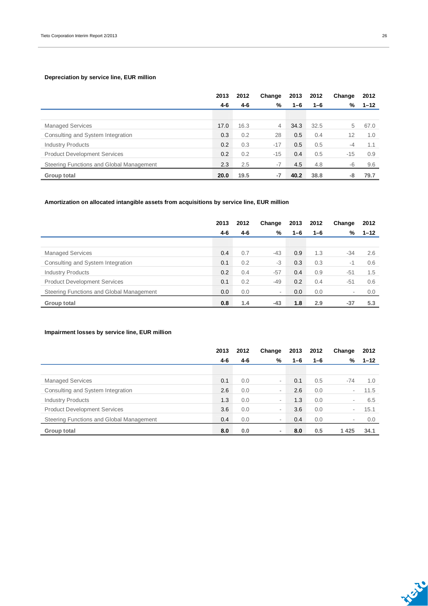#### **Depreciation by service line, EUR million**

|                                          | 2013 | 2012 | Change         | 2013    | 2012    | Change | 2012     |
|------------------------------------------|------|------|----------------|---------|---------|--------|----------|
|                                          | 4-6  | 4-6  | %              | $1 - 6$ | $1 - 6$ | %      | $1 - 12$ |
|                                          |      |      |                |         |         |        |          |
| <b>Managed Services</b>                  | 17.0 | 16.3 | $\overline{4}$ | 34.3    | 32.5    | 5      | 67.0     |
| Consulting and System Integration        | 0.3  | 0.2  | 28             | 0.5     | 0.4     | 12     | 1.0      |
| <b>Industry Products</b>                 | 0.2  | 0.3  | $-17$          | 0.5     | 0.5     | $-4$   | 1.1      |
| <b>Product Development Services</b>      | 0.2  | 0.2  | $-15$          | 0.4     | 0.5     | $-15$  | 0.9      |
| Steering Functions and Global Management | 2.3  | 2.5  | $-7$           | 4.5     | 4.8     | $-6$   | 9.6      |
| Group total                              | 20.0 | 19.5 | -7             | 40.2    | 38.8    | -8     | 79.7     |

#### **Amortization on allocated intangible assets from acquisitions by service line, EUR million**

|                                          | 2013    | 2012 | Change | 2013    | 2012 | Change                   | 2012     |
|------------------------------------------|---------|------|--------|---------|------|--------------------------|----------|
|                                          | $4 - 6$ | 4-6  | %      | $1 - 6$ | 1-6  | %                        | $1 - 12$ |
|                                          |         |      |        |         |      |                          |          |
| <b>Managed Services</b>                  | 0.4     | 0.7  | $-43$  | 0.9     | 1.3  | $-34$                    | 2.6      |
| Consulting and System Integration        | 0.1     | 0.2  | -3     | 0.3     | 0.3  | $-1$                     | 0.6      |
| <b>Industry Products</b>                 | 0.2     | 0.4  | $-57$  | 0.4     | 0.9  | $-51$                    | 1.5      |
| <b>Product Development Services</b>      | 0.1     | 0.2  | -49    | 0.2     | 0.4  | $-51$                    | 0.6      |
| Steering Functions and Global Management | 0.0     | 0.0  | ۰      | 0.0     | 0.0  | $\overline{\phantom{a}}$ | 0.0      |
| Group total                              | 0.8     | 1.4  | $-43$  | 1.8     | 2.9  | $-37$                    | 5.3      |

#### **Impairment losses by service line, EUR million**

|                                          | 2013 | 2012 | Change                   | 2013    | 2012 | Change                   | 2012     |
|------------------------------------------|------|------|--------------------------|---------|------|--------------------------|----------|
|                                          | 4-6  | 4-6  | %                        | $1 - 6$ | 1-6  | %                        | $1 - 12$ |
|                                          |      |      |                          |         |      |                          |          |
| <b>Managed Services</b>                  | 0.1  | 0.0  | ۰                        | 0.1     | 0.5  | $-74$                    | 1.0      |
| Consulting and System Integration        | 2.6  | 0.0  | ۰                        | 2.6     | 0.0  | $\overline{\phantom{a}}$ | 11.5     |
| <b>Industry Products</b>                 | 1.3  | 0.0  | ۰                        | 1.3     | 0.0  | $\overline{\phantom{a}}$ | 6.5      |
| <b>Product Development Services</b>      | 3.6  | 0.0  | ۰                        | 3.6     | 0.0  | $\overline{\phantom{a}}$ | 15.1     |
| Steering Functions and Global Management | 0.4  | 0.0  | ۰                        | 0.4     | 0.0  | $\overline{\phantom{a}}$ | 0.0      |
| Group total                              | 8.0  | 0.0  | $\overline{\phantom{0}}$ | 8.0     | 0.5  | 1425                     | 34.1     |

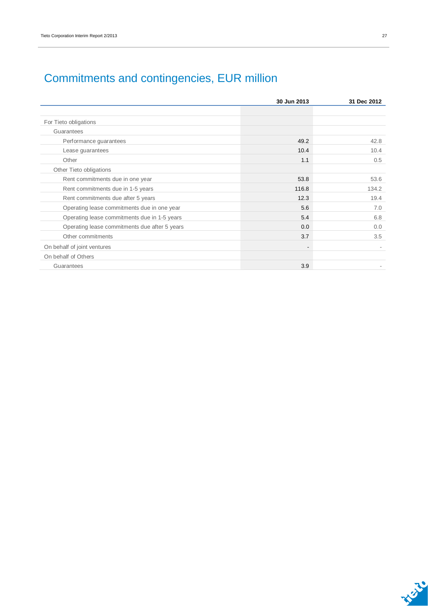|                                               | 30 Jun 2013 | 31 Dec 2012 |
|-----------------------------------------------|-------------|-------------|
|                                               |             |             |
| For Tieto obligations                         |             |             |
| Guarantees                                    |             |             |
| Performance guarantees                        | 49.2        | 42.8        |
| Lease guarantees                              | 10.4        | 10.4        |
| Other                                         | 1.1         | 0.5         |
| Other Tieto obligations                       |             |             |
| Rent commitments due in one year              | 53.8        | 53.6        |
| Rent commitments due in 1-5 years             | 116.8       | 134.2       |
| Rent commitments due after 5 years            | 12.3        | 19.4        |
| Operating lease commitments due in one year   | 5.6         | 7.0         |
| Operating lease commitments due in 1-5 years  | 5.4         | 6.8         |
| Operating lease commitments due after 5 years | 0.0         | 0.0         |
| Other commitments                             | 3.7         | 3.5         |
| On behalf of joint ventures                   |             |             |
| On behalf of Others                           |             |             |
| Guarantees                                    | 3.9         |             |

## Commitments and contingencies, EUR million

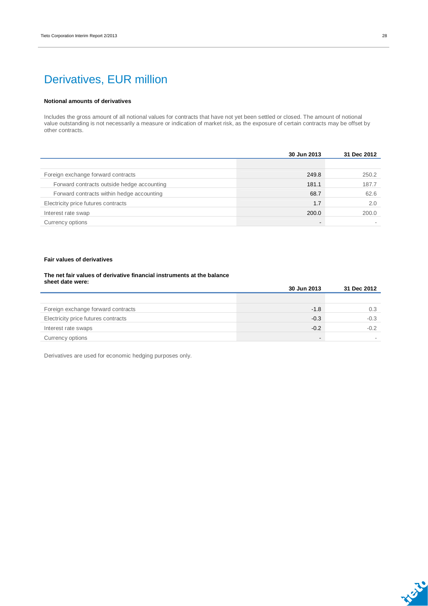### Derivatives, EUR million

#### **Notional amounts of derivatives**

Includes the gross amount of all notional values for contracts that have not yet been settled or closed. The amount of notional value outstanding is not necessarily a measure or indication of market risk, as the exposure of certain contracts may be offset by other contracts.

|                                            | 30 Jun 2013 | 31 Dec 2012 |
|--------------------------------------------|-------------|-------------|
|                                            |             |             |
| Foreign exchange forward contracts         | 249.8       | 250.2       |
| Forward contracts outside hedge accounting | 181.1       | 187.7       |
| Forward contracts within hedge accounting  | 68.7        | 62.6        |
| Electricity price futures contracts        | 1.7         | 2.0         |
| Interest rate swap                         | 200.0       | 200.0       |
| Currency options                           |             |             |

#### **Fair values of derivatives**

#### **The net fair values of derivative financial instruments at the balance sheet date were:**

|                                     | 30 Jun 2013 | 31 Dec 2012 |
|-------------------------------------|-------------|-------------|
|                                     |             |             |
| Foreign exchange forward contracts  | $-1.8$      | 0.3         |
| Electricity price futures contracts | $-0.3$      | $-0.3$      |
| Interest rate swaps                 | $-0.2$      | $-0.2$      |
| Currency options                    | -           |             |

Derivatives are used for economic hedging purposes only.

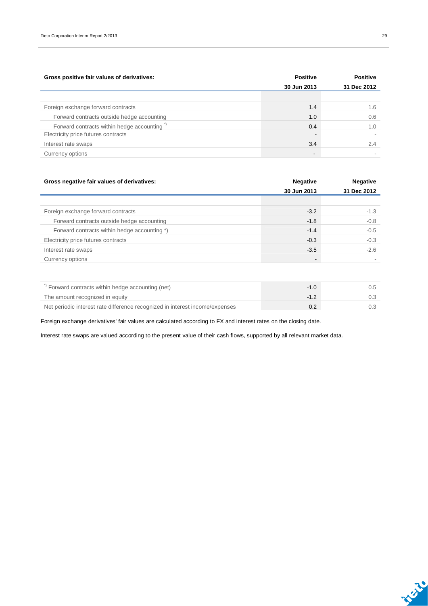| Gross positive fair values of derivatives: | <b>Positive</b>          | <b>Positive</b> |
|--------------------------------------------|--------------------------|-----------------|
|                                            | 30 Jun 2013              | 31 Dec 2012     |
|                                            |                          |                 |
| Foreign exchange forward contracts         | 1.4                      | 1.6             |
| Forward contracts outside hedge accounting | 1.0                      | 0.6             |
| Forward contracts within hedge accounting  | 0.4                      | 1.0             |
| Electricity price futures contracts        | $\overline{\phantom{a}}$ |                 |
| Interest rate swaps                        | 3.4                      | 2.4             |
| Currency options                           | $\overline{\phantom{a}}$ |                 |

| Gross negative fair values of derivatives:   | <b>Negative</b>          | <b>Negative</b> |
|----------------------------------------------|--------------------------|-----------------|
|                                              | 30 Jun 2013              | 31 Dec 2012     |
|                                              |                          |                 |
| Foreign exchange forward contracts           | $-3.2$                   | $-1.3$          |
| Forward contracts outside hedge accounting   | $-1.8$                   | $-0.8$          |
| Forward contracts within hedge accounting *) | $-1.4$                   | $-0.5$          |
| Electricity price futures contracts          | $-0.3$                   | $-0.3$          |
| Interest rate swaps                          | $-3.5$                   | $-2.6$          |
| Currency options                             | $\overline{\phantom{a}}$ |                 |
|                                              |                          |                 |

| ) Forward contracts within hedge accounting (net)                            |  |
|------------------------------------------------------------------------------|--|
| The amount recognized in equity                                              |  |
| Net periodic interest rate difference recognized in interest income/expenses |  |

Foreign exchange derivatives' fair values are calculated according to FX and interest rates on the closing date.

Interest rate swaps are valued according to the present value of their cash flows, supported by all relevant market data.

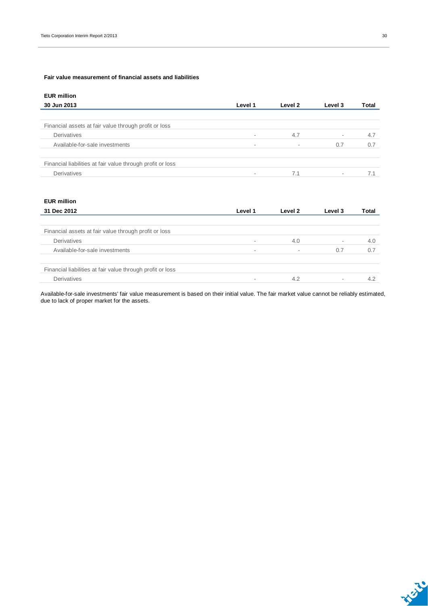#### **Fair value measurement of financial assets and liabilities**

| <b>EUR million</b>                                         |                          |                          |         |       |
|------------------------------------------------------------|--------------------------|--------------------------|---------|-------|
| 30 Jun 2013                                                | Level 1                  | Level 2                  | Level 3 | Total |
|                                                            |                          |                          |         |       |
| Financial assets at fair value through profit or loss      |                          |                          |         |       |
| Derivatives                                                | $\sim$                   | 4.7                      | ۰.      | 4.7   |
| Available-for-sale investments                             | $\overline{\phantom{a}}$ | $\overline{\phantom{a}}$ | 0.7     | 0.7   |
| Financial liabilities at fair value through profit or loss |                          |                          |         |       |
| Derivatives                                                | $\sim$                   | 7.1                      | ۰       |       |

| <b>EUR million</b>                                         |         |         |         |       |
|------------------------------------------------------------|---------|---------|---------|-------|
| 31 Dec 2012                                                | Level 1 | Level 2 | Level 3 | Total |
|                                                            |         |         |         |       |
| Financial assets at fair value through profit or loss      |         |         |         |       |
| Derivatives                                                |         | 4.0     | $\sim$  | 4.0   |
| Available-for-sale investments                             |         |         | 0.7     | 0.7   |
| Financial liabilities at fair value through profit or loss |         |         |         |       |
| Derivatives                                                |         | 4.2     | $\sim$  | 4.2   |

Available-for-sale investments' fair value measurement is based on their initial value. The fair market value cannot be reliably estimated, due to lack of proper market for the assets.

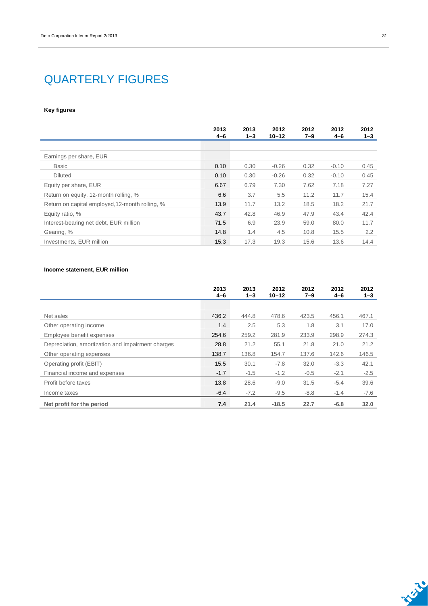### QUARTERLY FIGURES

#### **Key figures**

|                                                 | 2013<br>$4 - 6$ | 2013<br>$1 - 3$ | 2012<br>$10 - 12$ | 2012<br>$7 - 9$ | 2012<br>$4 - 6$ | 2012<br>$1 - 3$ |
|-------------------------------------------------|-----------------|-----------------|-------------------|-----------------|-----------------|-----------------|
|                                                 |                 |                 |                   |                 |                 |                 |
| Earnings per share, EUR                         |                 |                 |                   |                 |                 |                 |
| Basic                                           | 0.10            | 0.30            | $-0.26$           | 0.32            | $-0.10$         | 0.45            |
| <b>Diluted</b>                                  | 0.10            | 0.30            | $-0.26$           | 0.32            | $-0.10$         | 0.45            |
| Equity per share, EUR                           | 6.67            | 6.79            | 7.30              | 7.62            | 7.18            | 7.27            |
| Return on equity, 12-month rolling, %           | 6.6             | 3.7             | 5.5               | 11.2            | 11.7            | 15.4            |
| Return on capital employed, 12-month rolling, % | 13.9            | 11.7            | 13.2              | 18.5            | 18.2            | 21.7            |
| Equity ratio, %                                 | 43.7            | 42.8            | 46.9              | 47.9            | 43.4            | 42.4            |
| Interest-bearing net debt, EUR million          | 71.5            | 6.9             | 23.9              | 59.0            | 80.0            | 11.7            |
| Gearing, %                                      | 14.8            | 1.4             | 4.5               | 10.8            | 15.5            | 2.2             |
| Investments, EUR million                        | 15.3            | 17.3            | 19.3              | 15.6            | 13.6            | 14.4            |

#### **Income statement, EUR million**

|                                                   | 2013<br>$4 - 6$ | 2013<br>$1 - 3$ | 2012<br>$10 - 12$ | 2012<br>$7 - 9$ | 2012<br>$4 - 6$ | 2012<br>$1 - 3$ |
|---------------------------------------------------|-----------------|-----------------|-------------------|-----------------|-----------------|-----------------|
|                                                   |                 |                 |                   |                 |                 |                 |
| Net sales                                         | 436.2           | 444.8           | 478.6             | 423.5           | 456.1           | 467.1           |
| Other operating income                            | 1.4             | 2.5             | 5.3               | 1.8             | 3.1             | 17.0            |
| Employee benefit expenses                         | 254.6           | 259.2           | 281.9             | 233.9           | 298.9           | 274.3           |
| Depreciation, amortization and impairment charges | 28.8            | 21.2            | 55.1              | 21.8            | 21.0            | 21.2            |
| Other operating expenses                          | 138.7           | 136.8           | 154.7             | 137.6           | 142.6           | 146.5           |
| Operating profit (EBIT)                           | 15.5            | 30.1            | $-7.8$            | 32.0            | $-3.3$          | 42.1            |
| Financial income and expenses                     | $-1.7$          | $-1.5$          | $-1.2$            | $-0.5$          | $-2.1$          | $-2.5$          |
| Profit before taxes                               | 13.8            | 28.6            | $-9.0$            | 31.5            | $-5.4$          | 39.6            |
| Income taxes                                      | $-6.4$          | $-7.2$          | $-9.5$            | $-8.8$          | $-1.4$          | $-7.6$          |
| Net profit for the period                         | 7.4             | 21.4            | $-18.5$           | 22.7            | $-6.8$          | 32.0            |

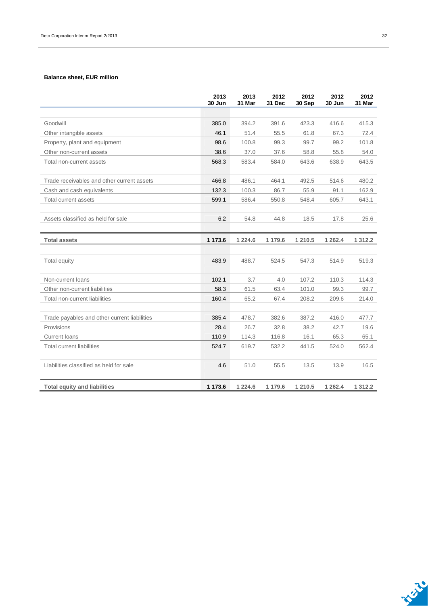#### **Balance sheet, EUR million**

|                                              | 2013<br>30 Jun | 2013<br>31 Mar | 2012<br>31 Dec | 2012<br>30 Sep | 2012<br>30 Jun | 2012<br>31 Mar |
|----------------------------------------------|----------------|----------------|----------------|----------------|----------------|----------------|
|                                              |                |                |                |                |                |                |
| Goodwill                                     | 385.0          | 394.2          | 391.6          | 423.3          | 416.6          | 415.3          |
| Other intangible assets                      | 46.1           | 51.4           | 55.5           | 61.8           | 67.3           | 72.4           |
| Property, plant and equipment                | 98.6           | 100.8          | 99.3           | 99.7           | 99.2           | 101.8          |
| Other non-current assets                     | 38.6           | 37.0           | 37.6           | 58.8           | 55.8           | 54.0           |
| Total non-current assets                     | 568.3          | 583.4          | 584.0          | 643.6          | 638.9          | 643.5          |
| Trade receivables and other current assets   | 466.8          | 486.1          | 464.1          | 492.5          | 514.6          | 480.2          |
| Cash and cash equivalents                    | 132.3          | 100.3          | 86.7           | 55.9           | 91.1           | 162.9          |
| Total current assets                         | 599.1          | 586.4          | 550.8          | 548.4          | 605.7          | 643.1          |
|                                              |                |                |                |                |                |                |
| Assets classified as held for sale           | 6.2            | 54.8           | 44.8           | 18.5           | 17.8           | 25.6           |
|                                              |                |                |                |                |                |                |
| <b>Total assets</b>                          | 1 173.6        | 1 2 2 4 . 6    | 1 179.6        | 1 210.5        | 1 2 6 2.4      | 1 3 1 2 . 2    |
|                                              |                |                |                |                |                |                |
| Total equity                                 | 483.9          | 488.7          | 524.5          | 547.3          | 514.9          | 519.3          |
| Non-current loans                            | 102.1          | 3.7            | 4.0            | 107.2          | 110.3          | 114.3          |
| Other non-current liabilities                | 58.3           | 61.5           | 63.4           | 101.0          | 99.3           | 99.7           |
| Total non-current liabilities                | 160.4          | 65.2           | 67.4           | 208.2          | 209.6          | 214.0          |
|                                              |                |                |                |                |                |                |
| Trade payables and other current liabilities | 385.4          | 478.7          | 382.6          | 387.2          | 416.0          | 477.7          |
| Provisions                                   | 28.4           | 26.7           | 32.8           | 38.2           | 42.7           | 19.6           |
| <b>Current loans</b>                         | 110.9          | 114.3          | 116.8          | 16.1           | 65.3           | 65.1           |
| <b>Total current liabilities</b>             | 524.7          | 619.7          | 532.2          | 441.5          | 524.0          | 562.4          |
|                                              |                |                |                |                |                |                |
| Liabilities classified as held for sale      | 4.6            | 51.0           | 55.5           | 13.5           | 13.9           | 16.5           |
| <b>Total equity and liabilities</b>          | 1 1 7 3 . 6    | 1 2 2 4 . 6    | 1 179.6        | 1 210.5        | 1 2 6 2.4      | 1 3 1 2 . 2    |

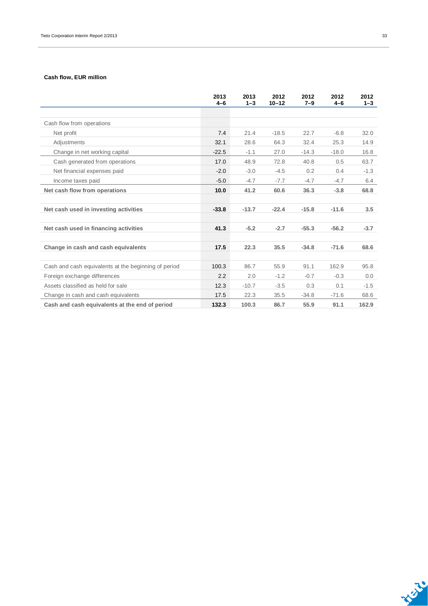#### **Cash flow, EUR million**

|                                                      | 2013<br>$4-6$ | 2013<br>$1 - 3$ | 2012<br>$10 - 12$ | 2012<br>$7 - 9$ | 2012<br>$4 - 6$ | 2012<br>$1 - 3$ |
|------------------------------------------------------|---------------|-----------------|-------------------|-----------------|-----------------|-----------------|
|                                                      |               |                 |                   |                 |                 |                 |
| Cash flow from operations                            |               |                 |                   |                 |                 |                 |
| Net profit                                           | 7.4           | 21.4            | $-18.5$           | 22.7            | $-6.8$          | 32.0            |
| Adjustments                                          | 32.1          | 28.6            | 64.3              | 32.4            | 25.3            | 14.9            |
| Change in net working capital                        | $-22.5$       | $-1.1$          | 27.0              | $-14.3$         | $-18.0$         | 16.8            |
| Cash generated from operations                       | 17.0          | 48.9            | 72.8              | 40.8            | 0.5             | 63.7            |
| Net financial expenses paid                          | $-2.0$        | $-3.0$          | $-4.5$            | 0.2             | 0.4             | $-1.3$          |
| Income taxes paid                                    | $-5.0$        | $-4.7$          | $-7.7$            | $-4.7$          | $-4.7$          | 6.4             |
| Net cash flow from operations                        | 10.0          | 41.2            | 60.6              | 36.3            | $-3.8$          | 68.8            |
|                                                      |               |                 |                   |                 |                 |                 |
| Net cash used in investing activities                | $-33.8$       | $-13.7$         | $-22.4$           | $-15.8$         | $-11.6$         | 3.5             |
|                                                      |               |                 |                   |                 |                 |                 |
| Net cash used in financing activities                | 41.3          | $-5.2$          | $-2.7$            | $-55.3$         | $-56.2$         | $-3.7$          |
|                                                      |               |                 |                   |                 |                 |                 |
| Change in cash and cash equivalents                  | 17.5          | 22.3            | 35.5              | $-34.8$         | $-71.6$         | 68.6            |
|                                                      |               |                 |                   |                 |                 |                 |
| Cash and cash equivalents at the beginning of period | 100.3         | 86.7            | 55.9              | 91.1            | 162.9           | 95.8            |
| Foreign exchange differences                         | 2.2           | 2.0             | $-1.2$            | $-0.7$          | $-0.3$          | 0.0             |
| Assets classified as held for sale                   | 12.3          | $-10.7$         | $-3.5$            | 0.3             | 0.1             | $-1.5$          |
| Change in cash and cash equivalents                  | 17.5          | 22.3            | 35.5              | $-34.8$         | $-71.6$         | 68.6            |
| Cash and cash equivalents at the end of period       | 132.3         | 100.3           | 86.7              | 55.9            | 91.1            | 162.9           |

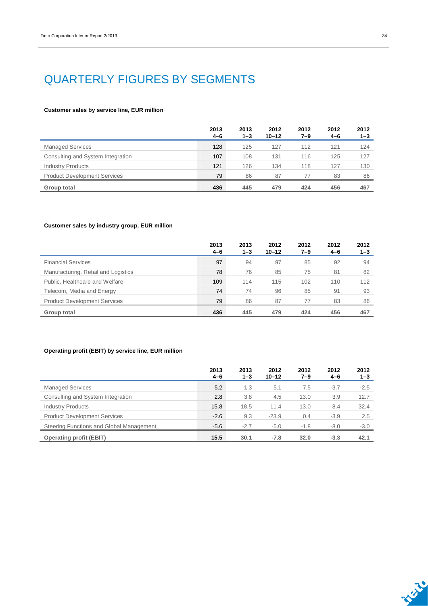## QUARTERLY FIGURES BY SEGMENTS

#### **Customer sales by service line, EUR million**

|                                     | 2013<br>4-6 | 2013<br>$1 - 3$ | 2012<br>$10 - 12$ | 2012<br>7–9 | 2012<br>$4 - 6$ | 2012<br>$1 - 3$ |
|-------------------------------------|-------------|-----------------|-------------------|-------------|-----------------|-----------------|
| <b>Managed Services</b>             | 128         | 125             | 127               | 112         | 121             | 124             |
| Consulting and System Integration   | 107         | 108             | 131               | 116         | 125             | 127             |
| <b>Industry Products</b>            | 121         | 126             | 134               | 118         | 127             | 130             |
| <b>Product Development Services</b> | 79          | 86              | 87                | 77          | 83              | 86              |
| Group total                         | 436         | 445             | 479               | 424         | 456             | 467             |

#### **Customer sales by industry group, EUR million**

|                                     | 2013<br>4-6 | 2013<br>$1 - 3$ | 2012<br>$10 - 12$ | 2012<br>7–9 | 2012<br>$4 - 6$ | 2012<br>$1 - 3$ |
|-------------------------------------|-------------|-----------------|-------------------|-------------|-----------------|-----------------|
| <b>Financial Services</b>           | 97          | 94              | 97                | 85          | 92              | 94              |
| Manufacturing, Retail and Logistics | 78          | 76              | 85                | 75          | 81              | 82              |
| Public, Healthcare and Welfare      | 109         | 114             | 115               | 102         | 110             | 112             |
| Telecom, Media and Energy           | 74          | 74              | 96                | 85          | 91              | 93              |
| <b>Product Development Services</b> | 79          | 86              | 87                | 77          | 83              | 86              |
| Group total                         | 436         | 445             | 479               | 424         | 456             | 467             |

#### **Operating profit (EBIT) by service line, EUR million**

|                                          | 2013<br>4-6 | 2013<br>$1 - 3$ | 2012<br>$10 - 12$ | 2012<br>7–9 | 2012<br>$4 - 6$ | 2012<br>$1 - 3$ |
|------------------------------------------|-------------|-----------------|-------------------|-------------|-----------------|-----------------|
| <b>Managed Services</b>                  | 5.2         | 1.3             | 5.1               | 7.5         | $-3.7$          | $-2.5$          |
| Consulting and System Integration        | 2.8         | 3.8             | 4.5               | 13.0        | 3.9             | 12.7            |
| <b>Industry Products</b>                 | 15.8        | 18.5            | 11.4              | 13.0        | 8.4             | 32.4            |
| <b>Product Development Services</b>      | $-2.6$      | 9.3             | $-23.9$           | 0.4         | $-3.9$          | 2.5             |
| Steering Functions and Global Management | $-5.6$      | $-2.7$          | $-5.0$            | $-1.8$      | $-8.0$          | $-3.0$          |
| <b>Operating profit (EBIT)</b>           | 15.5        | 30.1            | $-7.8$            | 32.0        | $-3.3$          | 42.1            |



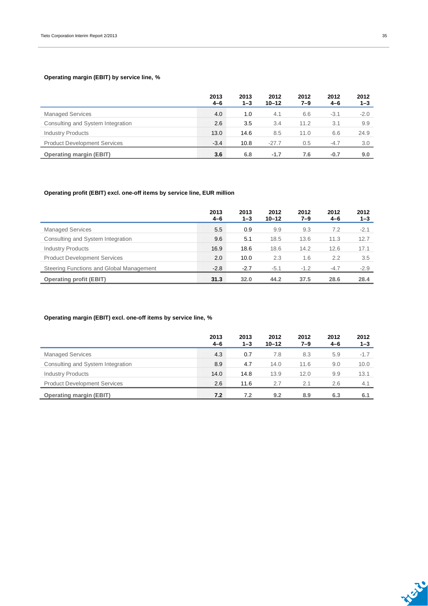#### **Operating margin (EBIT) by service line, %**

|                                     | 2013<br>$4 - 6$ | 2013<br>$1 - 3$ | 2012<br>$10 - 12$ | 2012<br>7–9 | 2012<br>4-6 | 2012<br>$1 - 3$ |
|-------------------------------------|-----------------|-----------------|-------------------|-------------|-------------|-----------------|
| <b>Managed Services</b>             | 4.0             | 1.0             | 4.1               | 6.6         | $-3.1$      | $-2.0$          |
| Consulting and System Integration   | 2.6             | 3.5             | 3.4               | 11.2        | 3.1         | 9.9             |
| <b>Industry Products</b>            | 13.0            | 14.6            | 8.5               | 11.0        | 6.6         | 24.9            |
| <b>Product Development Services</b> | $-3.4$          | 10.8            | $-27.7$           | 0.5         | $-4.7$      | 3.0             |
| <b>Operating margin (EBIT)</b>      | 3.6             | 6.8             | $-1.7$            | 7.6         | $-0.7$      | 9.0             |

#### **Operating profit (EBIT) excl. one-off items by service line, EUR million**

|                                          | 2013<br>4-6 | 2013<br>$1 - 3$ | 2012<br>$10 - 12$ | 2012<br>7–9 | 2012<br>$4 - 6$ | 2012<br>$1 - 3$ |
|------------------------------------------|-------------|-----------------|-------------------|-------------|-----------------|-----------------|
| <b>Managed Services</b>                  | 5.5         | 0.9             | 9.9               | 9.3         | 7.2             | $-2.1$          |
| Consulting and System Integration        | 9.6         | 5.1             | 18.5              | 13.6        | 11.3            | 12.7            |
| <b>Industry Products</b>                 | 16.9        | 18.6            | 18.6              | 14.2        | 12.6            | 17.1            |
| <b>Product Development Services</b>      | 2.0         | 10.0            | 2.3               | 1.6         | 2.2             | 3.5             |
| Steering Functions and Global Management | $-2.8$      | $-2.7$          | $-5.1$            | $-1.2$      | $-4.7$          | $-2.9$          |
| <b>Operating profit (EBIT)</b>           | 31.3        | 32.0            | 44.2              | 37.5        | 28.6            | 28.4            |

#### **Operating margin (EBIT) excl. one-off items by service line, %**

|                                     | 2013<br>$4 - 6$ | 2013<br>$1 - 3$ | 2012<br>$10 - 12$ | 2012<br>7–9 | 2012<br>$4 - 6$ | 2012<br>$1 - 3$ |
|-------------------------------------|-----------------|-----------------|-------------------|-------------|-----------------|-----------------|
| <b>Managed Services</b>             | 4.3             | 0.7             | 7.8               | 8.3         | 5.9             | $-1.7$          |
| Consulting and System Integration   | 8.9             | 4.7             | 14.0              | 11.6        | 9.0             | 10.0            |
| <b>Industry Products</b>            | 14.0            | 14.8            | 13.9              | 12.0        | 9.9             | 13.1            |
| <b>Product Development Services</b> | 2.6             | 11.6            | 2.7               | 2.1         | 2.6             | 4.1             |
| <b>Operating margin (EBIT)</b>      | 7.2             | 7.2             | 9.2               | 8.9         | 6.3             | 6.1             |

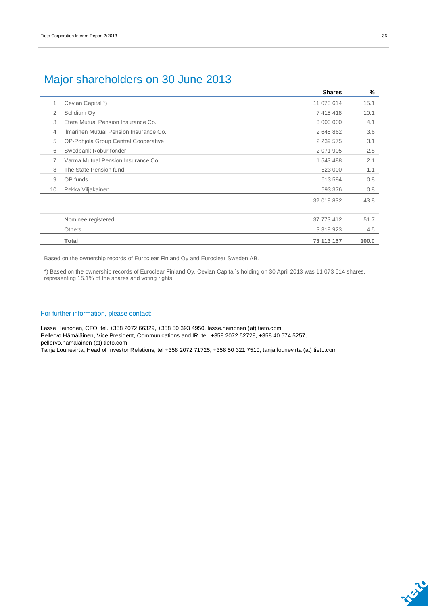### Major shareholders on 30 June 2013

|    |                                        | <b>Shares</b> | %     |
|----|----------------------------------------|---------------|-------|
| 1  | Cevian Capital *)                      | 11 073 614    | 15.1  |
| 2  | Solidium Oy                            | 7 415 418     | 10.1  |
| 3  | Etera Mutual Pension Insurance Co.     | 3 000 000     | 4.1   |
| 4  | Ilmarinen Mutual Pension Insurance Co. | 2645862       | 3.6   |
| 5  | OP-Pohjola Group Central Cooperative   | 2 2 3 5 5 7 5 | 3.1   |
| 6  | Swedbank Robur fonder                  | 2 0 71 9 0 5  | 2.8   |
| 7  | Varma Mutual Pension Insurance Co.     | 1 543 488     | 2.1   |
| 8  | The State Pension fund                 | 823 000       | 1.1   |
| 9  | OP funds                               | 613 594       | 0.8   |
| 10 | Pekka Viljakainen                      | 593 376       | 0.8   |
|    |                                        | 32 019 832    | 43.8  |
|    |                                        |               |       |
|    | Nominee registered                     | 37 773 412    | 51.7  |
|    | <b>Others</b>                          | 3 3 1 9 9 2 3 | 4.5   |
|    | Total                                  | 73 113 167    | 100.0 |

Based on the ownership records of Euroclear Finland Oy and Euroclear Sweden AB.

\*) Based on the ownership records of Euroclear Finland Oy, Cevian Capital´s holding on 30 April 2013 was 11 073 614 shares, representing 15.1% of the shares and voting rights.

#### For further information, please contact:

Lasse Heinonen, CFO, tel. +358 2072 66329, +358 50 393 4950, lasse.heinonen (at) tieto.com Pellervo Hämäläinen, Vice President, Communications and IR, tel. +358 2072 52729, +358 40 674 5257, pellervo.hamalainen (at) tieto.com

Tanja Lounevirta, Head of Investor Relations, tel +358 2072 71725, +358 50 321 7510, tanja.lounevirta (at) tieto.com